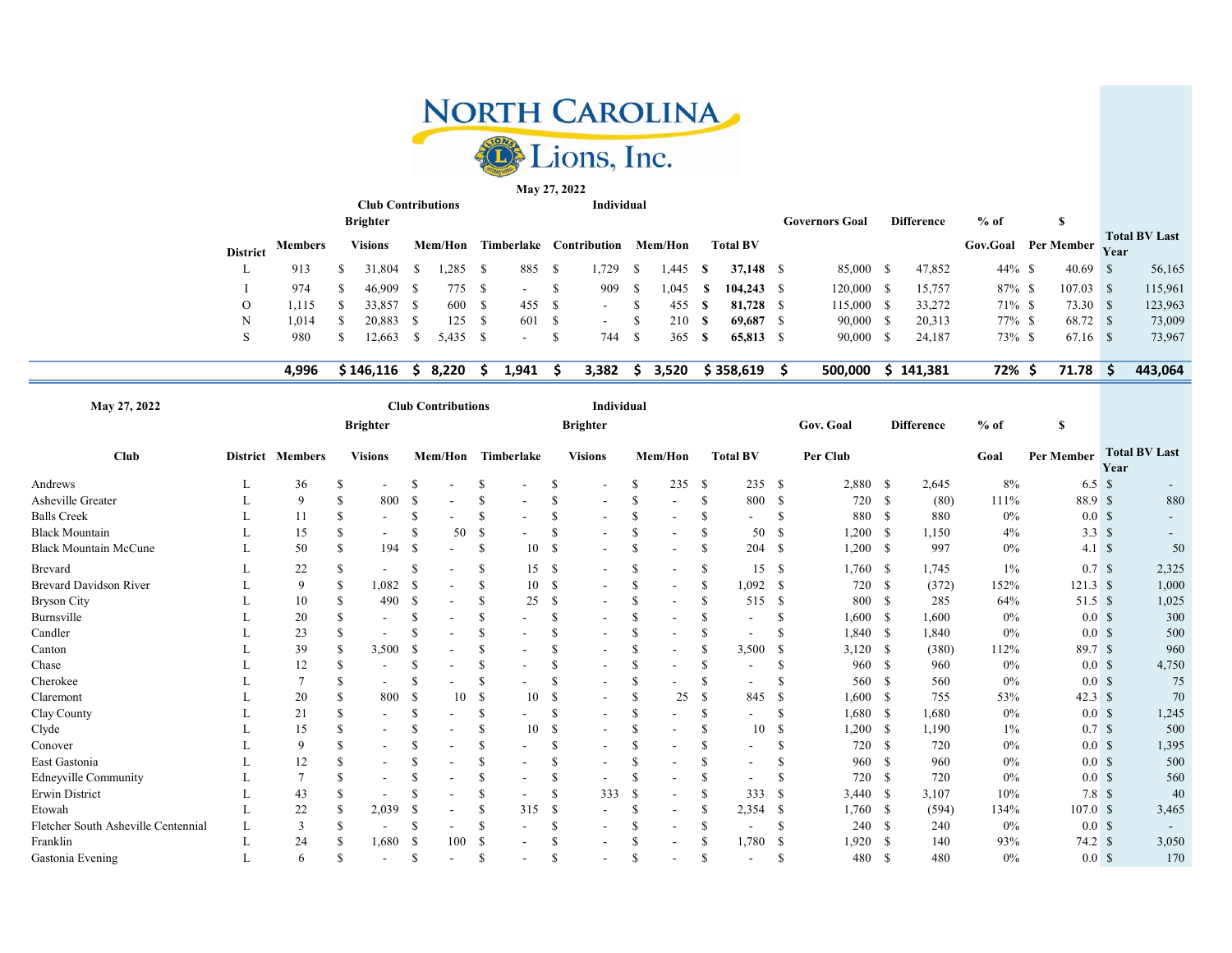

Club Contributions Individual May 27, 2022

|                 |         | <b>Brighter</b> |               |         |    |                          |                          |    |         |      |                 | <b>Governors Goal</b> | <b>Difference</b> | $%$ of                     |             |             |                      |
|-----------------|---------|-----------------|---------------|---------|----|--------------------------|--------------------------|----|---------|------|-----------------|-----------------------|-------------------|----------------------------|-------------|-------------|----------------------|
| <b>District</b> | Members | Visions         |               | Mem/Hon |    | Timberlake               | Contribution             |    | Mem/Hon |      | <b>Total BV</b> |                       |                   | <b>Gov.Goal</b> Per Member |             | <b>Vear</b> | <b>Total BV Last</b> |
| ъ.              | 913     | 31.804          | $\mathcal{L}$ | .285    |    | 885                      | 1,729                    | У  | .445    | -S   | 37,148 \$       | 85,000                | 47,852            | $44\%$ \$                  | $40.69$ \$  |             | 56,165               |
|                 | 974     | 46,909          |               | 775     | S. | $\overline{\phantom{a}}$ | 909                      | S. | 1,045   | - 50 | $104.243$ \$    | 120,000               | 15,757            | $87\%$ \$                  | $107.03$ \$ |             | 115,961              |
| O               | ,115    | 33.857          |               | 600     | -S | 455 \$                   | $\overline{\phantom{0}}$ |    | 455     | -S   | 81,728          | 15,000                | 33,272            | $71\%$ \$                  | 73.30 \$    |             | 123,963              |
| N               | .014    | 20.883          |               | 125     | -S | 601 \$                   | ۰                        |    | 210     | -8   | 69.687          | 90,000                | 20,313            | $77\%$ \$                  | 68.72 \$    |             | 73,009               |
|                 | 980     | 2,663           |               | 5,435   | -S | $\overline{\phantom{a}}$ | 744                      | S  | 365     | -8   | $65,813$ \$     | 90,000                | 24,187            | 73% \$                     | 67.16 \$    |             | 73,967               |
|                 |         |                 |               |         |    |                          |                          |    |         |      |                 |                       |                   |                            |             |             |                      |

4,996 \$ 146,116 \$ 8,220 \$ 1,941 \$ 3,382 \$ 3,520 \$ 358,619 \$ 500,000 \$ 141,381 72% \$ 71.78 \$ 443,064

| May 27, 2022                        |                  |     |                          |               | <b>Club Contributions</b> |              |            |               | Individual               |               |                          |               |                              |      |           |      |                   |        |                     |      |                      |
|-------------------------------------|------------------|-----|--------------------------|---------------|---------------------------|--------------|------------|---------------|--------------------------|---------------|--------------------------|---------------|------------------------------|------|-----------|------|-------------------|--------|---------------------|------|----------------------|
|                                     |                  |     | <b>Brighter</b>          |               |                           |              |            |               | <b>Brighter</b>          |               |                          |               |                              |      | Gov. Goal |      | <b>Difference</b> | $%$ of | S                   |      |                      |
| <b>Club</b>                         | District Members |     | <b>Visions</b>           |               | Mem/Hon                   |              | Timberlake |               | <b>Visions</b>           |               | Mem/Hon                  |               | <b>Total BV</b>              |      | Per Club  |      |                   | Goal   | Per Member          | Year | <b>Total BV Last</b> |
| Andrews                             | 36               | S   |                          |               |                           | S            |            | <sup>S</sup>  |                          | -S            | 235                      | -S            | 235S                         |      | 2,880     | -S   | 2,645             | 8%     | $6.5\text{ }s$      |      |                      |
| <b>Asheville Greater</b>            | 9                |     | 800                      | <sup>\$</sup> |                           | S            |            | <sup>\$</sup> |                          | \$            | $\overline{\phantom{a}}$ | -S            | 800                          | -S   | 720       | -S   | (80)              | 111%   | 88.9 \$             |      | 880                  |
| <b>Balls Creek</b>                  | 11               |     |                          | <sup>\$</sup> |                           | S            |            | -S            | ۰                        | \$            |                          | <sup>\$</sup> |                              |      | 880       | -S   | 880               | 0%     | 0.0 <sup>5</sup>    |      |                      |
| <b>Black Mountain</b>               | 15               |     |                          | S             | 50                        | S            |            | <sup>\$</sup> | Ξ.                       | \$            | $\overline{\phantom{a}}$ | S             | 50                           | -S   | 1,200     | - S  | 1,150             | 4%     | 3.3 <sup>°</sup>    |      |                      |
| <b>Black Mountain McCune</b>        | 50               | S.  | 194                      | -S            |                           | S            | 10         | - \$          | $\overline{\phantom{0}}$ | S             | $\overline{\phantom{a}}$ | S             | 204                          | - \$ | 1,200     | - \$ | 997               | $0\%$  | $4.1 \text{ }$ \$   |      | 50                   |
| Brevard                             | 22               |     |                          | S             |                           | S            | 15         | - \$          | $\overline{\phantom{0}}$ | S             | $\overline{\phantom{a}}$ | S             | 15                           | -S   | 1,760     | - \$ | 1,745             | $1\%$  | 0.7 <sup>5</sup>    |      | 2,325                |
| <b>Brevard Davidson River</b>       | 9                |     | 1,082                    | S             |                           | S            | 10         | - \$          |                          | \$.           | $\overline{\phantom{a}}$ | -S            | 1,092                        | -S   | 720       | -S   | (372)             | 152%   | $121.3 \text{ }$ \$ |      | 1,000                |
| Bryson City                         | 10               |     | 490                      | <sup>\$</sup> |                           | S            | 25         | <sup>\$</sup> | $\blacksquare$           | \$            | $\overline{\phantom{a}}$ | <b>S</b>      | 515                          | -S   | 800       | -S   | 285               | 64%    | 51.5 \$             |      | 1,025                |
| Burnsville                          | 20               |     |                          | S             |                           | S            |            | S             | ۰                        | S             | $\blacksquare$           | <b>S</b>      |                              |      | 1,600     | - \$ | 1,600             | 0%     | 0.0 <sup>5</sup>    |      | 300                  |
| Candler                             | 23               |     |                          |               |                           |              |            | S             |                          | <sup>\$</sup> | $\overline{\phantom{a}}$ | S             |                              |      | 1,840     | -S   | 1,840             | 0%     | 0.0 <sup>5</sup>    |      | 500                  |
| Canton                              | 39               |     | 3,500                    | <sup>\$</sup> |                           |              |            | <sup>\$</sup> | ۰                        | <sup>\$</sup> | $\overline{\phantom{a}}$ | S             | 3,500                        |      | 3,120     | - \$ | (380)             | 112%   | 89.7S               |      | 960                  |
| Chase                               | 12               |     |                          | S             |                           |              |            | <sup>\$</sup> |                          | <sup>\$</sup> | $\blacksquare$           | S             | ۰                            |      | 960       | -S   | 960               | 0%     | 0.0 <sup>5</sup>    |      | 4,750                |
| Cherokee                            |                  |     |                          | S             |                           |              |            | <sup>\$</sup> |                          | S             |                          | S             |                              |      | 560       | - S  | 560               | $0\%$  | 0.0 <sup>5</sup>    |      | 75                   |
| Claremont                           | 20               |     | 800                      | S             | 10                        | S            | 10         | S             |                          |               | 25                       | -S            | 845                          | -S   | 1,600     | -S   | 755               | 53%    | 42.3 <sup>°</sup>   |      | 70                   |
| Clay County                         | 21               |     |                          | S             |                           | S            |            | <sup>S</sup>  |                          | S             | $\blacksquare$           | S             |                              |      | 1,680     | -S   | 1,680             | $0\%$  | 0.0 <sup>5</sup>    |      | 1,245                |
| Clyde                               | 15               |     | $\blacksquare$           | -S            | $\overline{\phantom{a}}$  | \$.          | 10         | <sup>\$</sup> |                          |               |                          |               | 10                           | S    | 1,200     | - \$ | 1,190             | $1\%$  | 0.7 <sup>5</sup>    |      | 500                  |
| Conover                             | 9                |     | $\overline{\phantom{a}}$ | S             |                           | S            |            | S             |                          | S             | $\overline{\phantom{a}}$ | S             | $\qquad \qquad \blacksquare$ |      | 720       | - \$ | 720               | $0\%$  | 0.0 <sup>5</sup>    |      | 1,395                |
| East Gastonia                       | 12               |     |                          | S             |                           | S            |            | S             |                          | S             |                          | \$.           | $\overline{\phantom{a}}$     |      | 960       | -S   | 960               | 0%     | 0.0 <sup>5</sup>    |      | 500                  |
| <b>Edneyville Community</b>         |                  |     | $\overline{\phantom{a}}$ | S             | $\overline{\phantom{a}}$  | S            |            | S             | ۰                        | <sup>\$</sup> | $\blacksquare$           |               | $\overline{\phantom{a}}$     |      | 720       | -S   | 720               | 0%     | 0.0 <sup>5</sup>    |      | 560                  |
| <b>Erwin District</b>               | 43               |     |                          |               |                           |              |            | <sup>\$</sup> | 333                      | <sup>\$</sup> | $\blacksquare$           |               | 333                          |      | 3,440     | - \$ | 3,107             | 10%    | 7.8 <sup>°</sup>    |      | 40                   |
| Etowah                              | 22               |     | 2,039                    | S             |                           | S            | 315        | -\$           |                          | S             | $\blacksquare$           | -S            | 2,354                        | -S   | 1,760     | - \$ | (594)             | 134%   | 107.0 <sup>°</sup>  |      | 3,465                |
| Fletcher South Asheville Centennial | 3                |     |                          | S             |                           | S            |            | S             |                          | S             |                          | S             |                              |      | 240       | -S   | 240               | 0%     | 0.0 <sup>5</sup>    |      |                      |
| Franklin                            | 24               |     | 1,680                    | -8            | 100                       | S            |            |               |                          |               |                          | -S            | 1,780                        | - \$ | 1,920     | -S   | 140               | 93%    | 74.2 S              |      | 3,050                |
| Gastonia Evening                    | 6                | \$. | $\overline{\phantom{a}}$ | <sup>S</sup>  | $\overline{\phantom{a}}$  | <sup>S</sup> |            | <sup>\$</sup> | $\overline{\phantom{a}}$ | <sup>\$</sup> | $\overline{\phantom{a}}$ | \$            | $\overline{\phantom{a}}$     |      | 480       | -8   | 480               | 0%     | 0.0 <sup>5</sup>    |      | 170                  |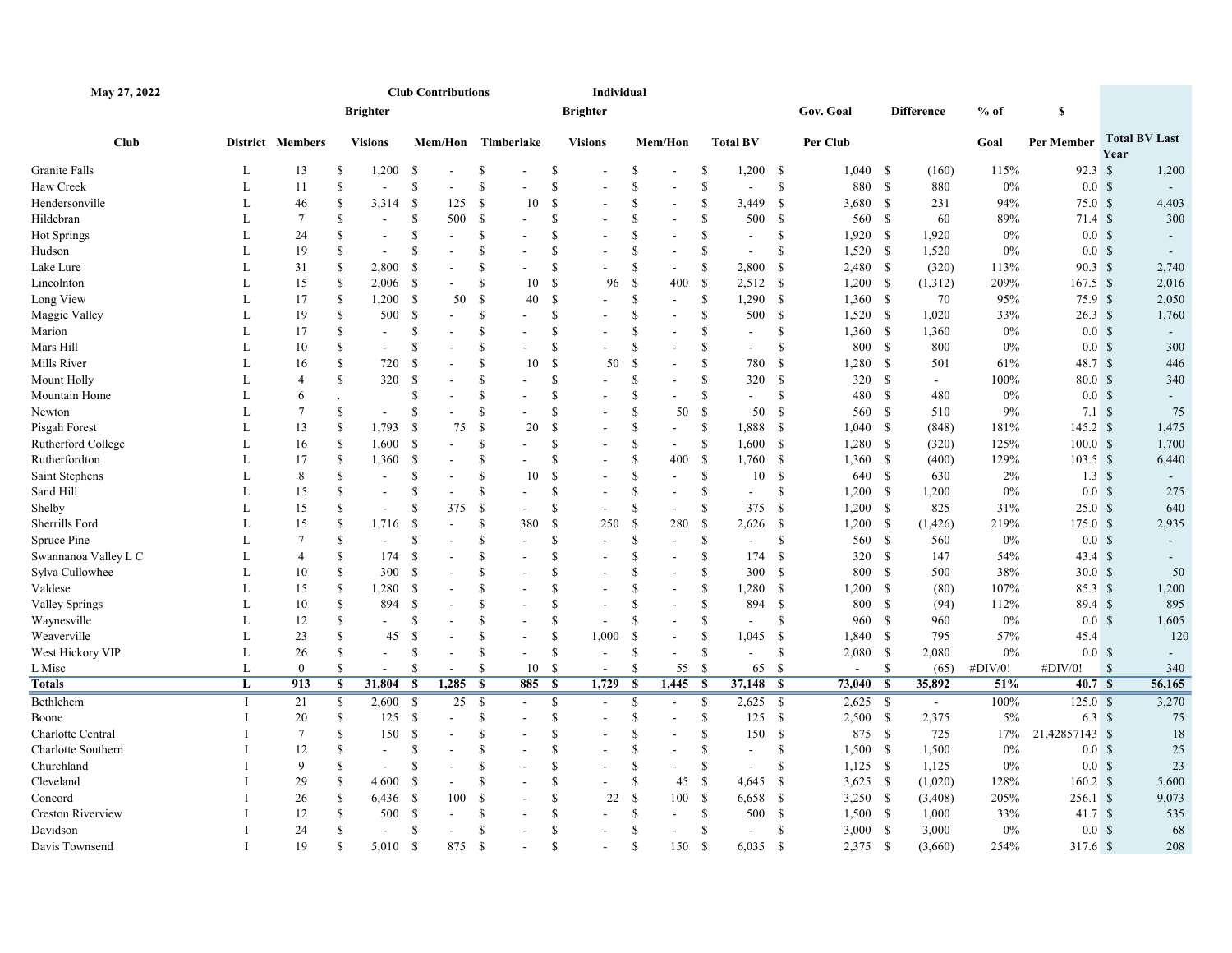| May 27, 2022         |              |                  |                    |                          | <b>Club Contributions</b>                 |     |                                         |               | Individual               |               |                          |               |                 |               |                |               |                   |         |                     |                    |                      |
|----------------------|--------------|------------------|--------------------|--------------------------|-------------------------------------------|-----|-----------------------------------------|---------------|--------------------------|---------------|--------------------------|---------------|-----------------|---------------|----------------|---------------|-------------------|---------|---------------------|--------------------|----------------------|
|                      |              |                  |                    | <b>Brighter</b>          |                                           |     |                                         |               | <b>Brighter</b>          |               |                          |               |                 |               | Gov. Goal      |               | <b>Difference</b> | $%$ of  | S                   |                    |                      |
| <b>Club</b>          |              | District Members |                    | <b>Visions</b>           | Mem/Hon                                   |     | Timberlake                              |               | <b>Visions</b>           |               | Mem/Hon                  |               | <b>Total BV</b> |               | Per Club       |               |                   | Goal    | Per Member          | Year               | <b>Total BV Last</b> |
| Granite Falls        | L            | 13               | S                  | 1,200                    | <sup>\$</sup>                             |     | S                                       | \$            |                          | \$            |                          | <sup>\$</sup> | $1,200$ \$      |               | $1,040$ \$     |               | (160)             | 115%    | $92.3 \text{ s}$    |                    | 1,200                |
| Haw Creek            | L            | 11               | S                  | $\overline{\phantom{a}}$ | $\mathbf{\hat{S}}$                        |     | S                                       | <sup>\$</sup> |                          | \$            |                          | <sup>\$</sup> | $\overline{a}$  | \$            | 880            | <sup>S</sup>  | 880               | $0\%$   | 0.0 <sup>5</sup>    |                    |                      |
| Hendersonville       | L            | 46               | S                  | 3,314                    | - \$                                      | 125 | $\mathbf S$<br>10                       | $\mathcal{S}$ |                          | <sup>\$</sup> | $\overline{a}$           | <sup>\$</sup> | 3,449           | \$            | 3,680          | -S            | 231               | 94%     | 75.0 <sup>°</sup>   |                    | 4,403                |
| Hildebran            | L            | 7                | <sup>\$</sup>      | $\sim$                   | <sup>\$</sup>                             | 500 | <sup>\$</sup>                           | <sup>\$</sup> |                          | <sup>\$</sup> |                          | <sup>\$</sup> | 500             | -S            | 560 \$         |               | 60                | 89%     | 71.4S               |                    | 300                  |
| Hot Springs          | L            | 24               | S                  | $\blacksquare$           | <sup>S</sup><br>$\blacksquare$            |     | S                                       | <sup>\$</sup> |                          | <sup>\$</sup> | $\overline{a}$           | <sup>\$</sup> | $\overline{a}$  | <sup>S</sup>  | 1,920          | -S            | 1,920             | $0\%$   | 0.0 <sup>5</sup>    |                    |                      |
| Hudson               | L            | 19               | <sup>\$</sup>      |                          | <sup>\$</sup><br>$\sim$                   |     | \$                                      | <sup>\$</sup> |                          | <sup>\$</sup> |                          | <sup>\$</sup> |                 | <sup>\$</sup> | 1,520          | <b>S</b>      | 1,520             | $0\%$   | 0.0 <sup>5</sup>    |                    |                      |
| Lake Lure            | L            | 31               | S                  | 2,800                    | <sup>\$</sup>                             |     | \$                                      | \$            |                          | \$            | $\overline{a}$           | \$            | 2,800           | -\$           | 2,480          | $\mathbb{S}$  | (320)             | 113%    | $90.3 \, \text{S}$  |                    | 2,740                |
| Lincolnton           | L            | 15               | \$                 | $2,006$ \$               |                                           |     | S<br>10                                 | -S            | 96                       | \$            | 400                      | -\$           | $2,512$ \$      |               | 1,200          | -S            | (1,312)           | 209%    | $167.5$ \$          |                    | 2,016                |
| Long View            | L            | 17               | \$                 | 1,200                    | - \$                                      | 50  | $\mathbf S$<br>40                       | $\mathcal{S}$ | $\blacksquare$           | \$            | $\blacksquare$           | \$            | 1,290           | -S            | 1,360          | -S            | 70                | 95%     | 75.9S               |                    | 2,050                |
| Maggie Valley        | $\mathbf{L}$ | 19               | \$                 | 500 \$                   |                                           |     | \$                                      | $\mathcal{S}$ |                          | <sup>\$</sup> | L.                       | <sup>\$</sup> | 500             | \$            | $1,520$ \$     |               | 1,020             | 33%     | $26.3 \text{ }$ \$  |                    | 1,760                |
| Marion               | L            | 17               | <sup>S</sup>       | ÷,                       | <sup>S</sup>                              |     | \$                                      | S             |                          | <sup>S</sup>  |                          | <sup>\$</sup> | $\sim$          | \$            | 1,360          | -S            | 1,360             | $0\%$   | 0.0 <sup>5</sup>    |                    |                      |
| Mars Hill            | L            | 10               | <sup>\$</sup>      | $\blacksquare$           | <sup>\$</sup>                             |     | $\mathbf S$                             | \$            | ÷,                       | <sup>\$</sup> |                          | -S            | $\sim$          | \$            | 800            | -S            | 800               | $0\%$   | 0.0 <sup>5</sup>    |                    | 300                  |
| Mills River          | L            | 16               | <sup>\$</sup>      | 720                      | - \$                                      |     | <sup>\$</sup><br>10                     | $\mathcal{S}$ | 50                       | <sup>\$</sup> |                          | <sup>\$</sup> | 780             | -S            | 1,280          | -S            | 501               | 61%     | 48.7S               |                    | 446                  |
| Mount Holly          | L            | $\overline{4}$   | $\mathbf S$        | 320                      | <sup>\$</sup>                             |     | \$                                      | \$            |                          | \$            |                          | <sup>\$</sup> | 320             | <sup>\$</sup> | 320            | -S            | $\sim$            | 100%    | 80.0 S              |                    | 340                  |
| Mountain Home        | L            | 6                |                    |                          | <sup>S</sup>                              |     | \$                                      | <sup>\$</sup> |                          | \$            |                          | \$            |                 | S             | 480            | -S            | 480               | $0\%$   | 0.0 <sup>5</sup>    |                    |                      |
| Newton               | L            | 7                | <sup>\$</sup>      | $\blacksquare$           | <sup>\$</sup><br>$\overline{\phantom{a}}$ |     | \$                                      | \$            | ٠                        | <sup>\$</sup> | 50                       | <sup>\$</sup> | 50              | -S            | 560            | -S            | 510               | 9%      | 7.1 S               |                    | 75                   |
| Pisgah Forest        | L            | 13               | S                  | 1,793                    | - \$                                      | 75  | <sup>\$</sup><br>20                     | -S            | $\blacksquare$           | <sup>\$</sup> | $\overline{\phantom{a}}$ | <sup>\$</sup> | 1,888           | - \$          | 1,040          | -S            | (848)             | 181%    | 145.2 S             |                    | 1,475                |
| Rutherford College   | L            | 16               | <sup>\$</sup>      | 1,600                    | - \$                                      |     | \$                                      | <sup>\$</sup> |                          | <sup>S</sup>  | $\overline{a}$           | <sup>\$</sup> | 1,600           | - \$          | 1,280          | -S            | (320)             | 125%    | 100.0 S             |                    | 1,700                |
| Rutherfordton        | L            | 17               | <sup>\$</sup>      | 1,360 \$                 |                                           |     | S                                       | <sup>S</sup>  |                          | \$            | 400                      | -\$           | $1,760$ \$      |               | $1,360$ \$     |               | (400)             | 129%    | $103.5$ \$          |                    | 6,440                |
| Saint Stephens       | L            | 8                | S                  |                          | S                                         |     | \$<br>10                                | -S            |                          | <sup>\$</sup> | $\overline{a}$           | \$            | 10              | <sup>\$</sup> | 640            | - \$          | 630               | 2%      | $1.3 \text{ } $s$   |                    |                      |
| Sand Hill            | L            | 15               | S                  | $\blacksquare$           | <sup>\$</sup><br>$\blacksquare$           |     | S                                       | <sup>\$</sup> | ÷,                       | <sup>\$</sup> | $\overline{a}$           | -S            | $\blacksquare$  | S             | 1,200          | -S            | 1,200             | 0%      | 0.0 <sup>5</sup>    |                    | 275                  |
| Shelby               | L            | 15               | <sup>S</sup>       |                          | $\mathbf S$                               | 375 | $\mathbf S$                             | \$            |                          | \$            |                          | \$            | 375             | \$            | 1,200          | \$            | 825               | 31%     | 25.0 <sup>°</sup>   |                    | 640                  |
| Sherrills Ford       | L            | 15               | S                  | 1,716                    | <sup>\$</sup>                             |     | \$<br>380                               | <sup>\$</sup> | 250                      | \$            | 280                      | <sup>\$</sup> | 2,626           | -S            | 1,200          | -S            | (1,426)           | 219%    | 175.0 S             |                    | 2,935                |
| Spruce Pine          | L            | 7                | S                  |                          | <sup>\$</sup><br>$\overline{\phantom{a}}$ |     | <sup>\$</sup>                           | <sup>\$</sup> | $\sim$                   | <sup>\$</sup> | $\mathbf{r}$             | \$            | $\sim$          | S             | 560            | -S            | 560               | $0\%$   | 0.0 <sup>5</sup>    |                    |                      |
| Swannanoa Valley L C | L            | $\overline{4}$   | \$.                | 174                      | -S                                        |     | \$                                      | \$            | $\sim$                   | \$.           | $\overline{a}$           | <sup>\$</sup> | 174             | -S            | 320            | -S            | 147               | 54%     | $43.4 \text{ s}$    |                    |                      |
| Sylva Cullowhee      | L            | 10               | \$                 | 300                      | -S                                        |     | \$                                      | S             |                          | <sup>\$</sup> | $\overline{a}$           | <sup>\$</sup> | 300             | -\$           | 800            | -S            | 500               | 38%     | 30.0 S              |                    | 50                   |
| Valdese              | L            | 15               | \$                 | 1,280                    | - \$                                      |     | $\mathbf S$                             | S             |                          | <sup>\$</sup> |                          | <sup>\$</sup> | 1,280           | -S            | 1,200          | -S            | (80)              | 107%    | 85.3S               |                    | 1,200                |
| Valley Springs       | L            | 10               | \$                 | 894                      | - \$                                      |     | \$                                      | \$            | $\sim$                   | <sup>\$</sup> | $\overline{a}$           | <sup>\$</sup> | 894             | <sup>\$</sup> | 800            | -S            | (94)              | 112%    | 89.4S               |                    | 895                  |
| Waynesville          | L            | 12               | S                  |                          | <sup>\$</sup>                             |     | S                                       | <sup>\$</sup> | $\sim$                   | <sup>\$</sup> |                          | <sup>\$</sup> |                 | \$.           | 960            | -S            | 960               | $0\%$   | 0.0 <sup>5</sup>    |                    | 1,605                |
| Weaverville          | L            | 23               | <sup>S</sup>       | 45                       | $\mathcal{S}$                             |     | \$                                      | \$            | 1,000                    | <sup>\$</sup> |                          | <sup>\$</sup> | 1,045           | $\mathcal{S}$ | 1,840          | <sup>\$</sup> | 795               | 57%     | 45.4                |                    | 120                  |
| West Hickory VIP     | L            | 26               | S                  |                          | <sup>\$</sup>                             |     | $\mathbb{S}$                            | $\mathcal{S}$ | $\overline{a}$           | <sup>\$</sup> |                          | <sup>\$</sup> |                 | \$            | 2,080          | - \$          | 2,080             | $0\%$   | 0.0 <sup>5</sup>    |                    |                      |
| L Misc               | L            | $\mathbf{0}$     | S                  |                          | <sup>S</sup><br>$\blacksquare$            |     | $\mathbb{S}$<br>10                      | -S            | $\sim$                   | \$            | 55                       | -\$           | 65              | -S            | $\blacksquare$ | $\mathbb{S}$  | (65)              | #DIV/0! | #DIV/0!             | $\mathbf{\hat{s}}$ | 340                  |
| Totals               | L            | 913              | S                  | 31,804                   | - \$<br>1,285                             |     | <b>S</b><br>885                         | - \$          | 1,729                    | $\mathbf{s}$  | 1,445                    | - \$          | 37,148          | - \$          | 73,040         | -S            | 35,892            | 51%     | 40.7 S              |                    | 56,165               |
| Bethlehem            | - 1          | 21               | $\mathbf{\hat{s}}$ | 2,600                    | - \$                                      | 25  | $\mathbf S$<br>$\overline{\phantom{a}}$ | $\mathbf S$   | $\sim$                   | <sup>\$</sup> | $\blacksquare$           | \$            | 2,625           | - \$          | 2,625          | - \$          | $\sim$            | 100%    | 125.0 S             |                    | 3,270                |
| Boone                | -1           | 20               | \$                 | 125S                     |                                           |     | \$                                      | \$            | $\blacksquare$           | <sup>\$</sup> | $\blacksquare$           | \$            | 125             | - \$          | $2,500$ \$     |               | 2,375             | 5%      | $6.3\;$ \$          |                    | 75                   |
| Charlotte Central    |              | 7                | S                  | 150                      | -S                                        |     | S                                       | <sup>\$</sup> |                          | <sup>\$</sup> |                          | <sup>\$</sup> | 150             | <sup>\$</sup> | 875            | - \$          | 725               | 17%     | 21.42857143 \$      |                    | 18                   |
| Charlotte Southern   | $\mathbf I$  | 12               | S                  |                          | $\mathbf S$                               |     | \$                                      | \$            |                          | \$            |                          | <sup>\$</sup> |                 | \$            | 1,500          | $\mathbb{S}$  | 1,500             | $0\%$   | 0.0 <sup>5</sup>    |                    | 25                   |
| Churchland           | $\mathbf I$  | 9                | S                  |                          | <sup>\$</sup>                             |     | S                                       | <sup>\$</sup> | $\blacksquare$           | <sup>\$</sup> |                          | \$            |                 | S             | 1,125          | - \$          | 1,125             | $0\%$   | 0.0 <sup>5</sup>    |                    | 23                   |
| Cleveland            | $\mathbf I$  | 29               | S                  | 4,600                    | - \$<br>$\sim$                            |     | S                                       | \$            | $\sim$                   | <sup>\$</sup> | 45                       | <sup>\$</sup> | 4,645           | -S            | 3,625          | <b>S</b>      | (1,020)           | 128%    | $160.2 \text{ }$ \$ |                    | 5,600                |
| Concord              |              | 26               | <sup>\$</sup>      | 6,436 \$                 |                                           | 100 | <sup>\$</sup>                           | <sup>\$</sup> | 22                       | <sup>\$</sup> | 100                      | -\$           | 6,658           | - \$          | $3,250$ \$     |               | (3,408)           | 205%    | 256.1 \$            |                    | 9,073                |
| Creston Riverview    | $\mathbf{I}$ | 12               | $\mathbb{S}$       | 500                      | - \$                                      |     | \$                                      | <sup>\$</sup> |                          | \$            | $\overline{a}$           | \$            | 500             | \$            | $1,500$ \$     |               | 1,000             | 33%     | 41.7S               |                    | 535                  |
| Davidson             | Л            | 24               | S                  | $\sim$                   | <sup>\$</sup><br>$\blacksquare$           |     | S                                       | <sup>\$</sup> | ÷                        | \$            | $\overline{\phantom{a}}$ | \$            | $\sim$          | <sup>\$</sup> | 3,000          | - \$          | 3,000             | $0\%$   | 0.0 <sup>5</sup>    |                    | 68                   |
| Davis Townsend       | $\bf{I}$     | 19               | S                  | 5,010                    | -S                                        | 875 | - \$                                    | <sup>\$</sup> | $\overline{\phantom{a}}$ | \$            | 150                      | <sup>\$</sup> | 6,035           | - S           | 2,375          | -S            | (3,660)           | 254%    | 317.6 \$            |                    | 208                  |
|                      |              |                  |                    |                          |                                           |     |                                         |               |                          |               |                          |               |                 |               |                |               |                   |         |                     |                    |                      |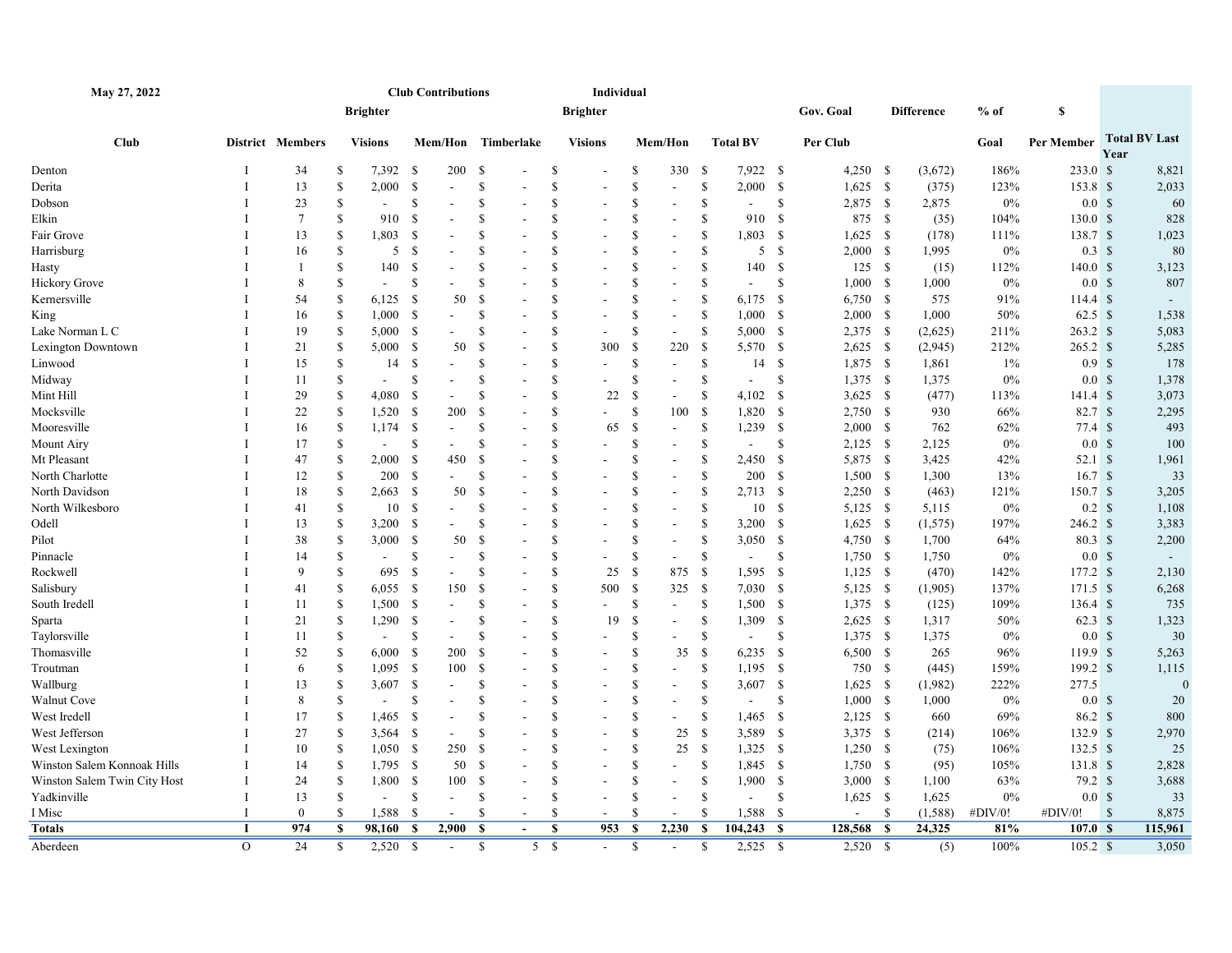| May 27, 2022                 |              |                  |                |                 | <b>Club Contributions</b>                 |     |                               |               | Individual               |                         |                              |                         |                 |               |                          |    |                   |         |                     |              |                      |
|------------------------------|--------------|------------------|----------------|-----------------|-------------------------------------------|-----|-------------------------------|---------------|--------------------------|-------------------------|------------------------------|-------------------------|-----------------|---------------|--------------------------|----|-------------------|---------|---------------------|--------------|----------------------|
|                              |              |                  |                | <b>Brighter</b> |                                           |     |                               |               | <b>Brighter</b>          |                         |                              |                         |                 |               | Gov. Goal                |    | <b>Difference</b> | $%$ of  | S                   |              |                      |
| <b>Club</b>                  |              | District Members |                | <b>Visions</b>  |                                           |     | Mem/Hon Timberlake            |               | <b>Visions</b>           |                         | Mem/Hon                      |                         | <b>Total BV</b> |               | Per Club                 |    |                   | Goal    | Per Member          | Year         | <b>Total BV Last</b> |
| Denton                       |              | 34               | S              | 7,392           | -S                                        | 200 | - \$                          | <sup>\$</sup> |                          | <sup>\$</sup>           | 330                          | - \$                    | 7,922 \$        |               | $4,250$ \$               |    | (3,672)           | 186%    | 233.0 <sup>°</sup>  |              | 8,821                |
| Derita                       |              | 13               | $\mathbf S$    | 2,000           | -S<br>$\sim$                              |     | <sup>S</sup>                  | \$            | $\overline{a}$           | $\mathbf S$             | $\overline{\phantom{a}}$     | \$                      | 2,000           | - \$          | $1,625$ \$               |    | (375)             | 123%    | 153.8 \$            |              | 2,033                |
| Dobson                       |              | 23               | <sup>\$</sup>  | $\sim$          | $\mathbb{S}$                              |     | <sup>S</sup>                  | \$            |                          | <sup>\$</sup>           | $\blacksquare$               | \$                      | $\sim$          | <sup>S</sup>  | $2,875$ \$               |    | 2,875             | $0\%$   | 0.0 <sup>5</sup>    |              | 60                   |
| Elkin                        |              | $7\phantom{.0}$  | \$             | 910             | <sup>\$</sup>                             |     | <sup>\$</sup>                 | \$            |                          | $\mathbf{\hat{s}}$      | $\overline{a}$               | $\mathbf{\hat{S}}$      | 910             | - \$          | 875 \$                   |    | (35)              | 104%    | $130.0 \text{ }$ \$ |              | 828                  |
| Fair Grove                   |              | 13               | <sup>\$</sup>  | 1,803           | - \$                                      |     | S                             | \$            |                          | <sup>\$</sup>           | $\blacksquare$               | <sup>\$</sup>           | 1,803           | <b>S</b>      | $1,625$ \$               |    | (178)             | 111%    | 138.7 \$            |              | 1,023                |
| Harrisburg                   |              | 16               | \$             | 5               | - \$                                      |     | S                             | \$            |                          | <sup>\$</sup>           | $\overline{a}$               | \$                      | 5S              |               | $2,000$ \$               |    | 1,995             | 0%      | $0.3 \text{ }$ \$   |              | 80                   |
| Hasty                        |              | $\overline{1}$   | $\mathbf S$    | 140             | $\mathcal{S}$                             |     | <sup>S</sup>                  | \$            |                          | <sup>\$</sup>           |                              | \$                      | 140             | $\mathbf{\$}$ | 125S                     |    | (15)              | 112%    | $140.0 \text{ }$ \$ |              | 3,123                |
| Hickory Grove                |              | 8                | $\mathbf S$    | $\sim$          | S                                         |     | S                             | \$            |                          | <sup>\$</sup>           |                              | <sup>\$</sup>           | $\sim$          | <sup>S</sup>  | 1,000 S                  |    | 1,000             | 0%      | 0.0 <sup>5</sup>    |              | 807                  |
| Kernersville                 |              | 54               | <sup>\$</sup>  | 6,125           | - \$                                      | 50  | <sup>\$</sup>                 | \$            |                          | $\mathbf{\hat{s}}$      | $\blacksquare$               | \$                      | 6,175           | - \$          | 6,750 \$                 |    | 575               | 91%     | 114.4 S             |              | $\sim$               |
| King                         |              | 16               | <sup>\$</sup>  | 1,000           | - \$                                      |     | <sup>\$</sup>                 | \$            | $\overline{a}$           | <sup>\$</sup>           | $\blacksquare$               | \$                      | 1,000           | - \$          | $2,000$ \$               |    | 1,000             | 50%     | $62.5\text{ }%$     |              | 1,538                |
| Lake Norman L C              |              | 19               | \$             | 5,000           | - \$                                      |     | S                             | \$            | $\blacksquare$           | <sup>\$</sup>           | $\sim$                       | \$                      | 5,000 S         |               | $2,375$ \$               |    | (2,625)           | 211%    | 263.2 \$            |              | 5,083                |
| Lexington Downtown           |              | 21               | <sup>\$</sup>  | 5,000           | - \$                                      | 50  | S                             | \$            | 300                      | -S                      | 220                          | \$                      | 5,570           | - \$          | $2,625$ \$               |    | (2,945)           | 212%    | $265.2 \text{ }$ \$ |              | 5,285                |
| Linwood                      |              | 15               | \$             | 14              | -S                                        |     | \$                            | \$            | L.                       | <sup>\$</sup>           | $\overline{\phantom{a}}$     | \$                      | 14S             |               | $1,875$ \$               |    | 1,861             | $1\%$   | 0.9 <sup>°</sup>    |              | 178                  |
| Midway                       |              | 11               | <sup>\$</sup>  | $\sim$          | S                                         |     | S                             | \$            |                          | <sup>\$</sup>           | $\blacksquare$               | $\mathsf{\$}$           | $\sim$          | <sup>\$</sup> | $1,375$ \$               |    | 1,375             | 0%      | 0.0 <sup>5</sup>    |              | 1,378                |
| Mint Hill                    |              | 29               | \$             | 4,080           | - \$                                      |     | \$                            | \$            | 22                       | <sup>\$</sup>           |                              | \$                      | 4,102           | \$            | $3,625$ \$               |    | (477)             | 113%    | $141.4 \text{ }$ \$ |              | 3,073                |
| Mocksville                   |              | 22               | $\mathbf S$    | 1,520           | - \$                                      | 200 | S                             | \$            | $\overline{\phantom{a}}$ | <sup>\$</sup>           | 100                          | \$                      | 1,820           | - \$          | $2,750$ \$               |    | 930               | 66%     | 82.7 <sup>8</sup>   |              | 2,295                |
| Mooresville                  |              | 16               | <sup>\$</sup>  | 1,174           | - \$<br>$\sim$                            |     | S                             | <sup>\$</sup> | 65                       | <sup>\$</sup>           | $\blacksquare$               | \$                      | 1,239           | - \$          | 2,000 S                  |    | 762               | 62%     | $77.4 \text{ }$ \$  |              | 493                  |
| Mount Airy                   |              | 17               | $\mathbf S$    | $\sim$          | $\mathbb{S}$                              |     | <sup>S</sup>                  | \$            | $\overline{a}$           | <sup>\$</sup>           | $\overline{a}$               | \$                      | $\sim$          | <sup>\$</sup> | $2,125$ \$               |    | 2,125             | 0%      | 0.0 <sup>5</sup>    |              | 100                  |
| Mt Pleasant                  |              | 47               | <sup>\$</sup>  | 2,000           | - \$                                      | 450 | <sup>\$</sup>                 | \$            |                          | <sup>\$</sup>           | $\blacksquare$               | \$                      | 2,450           | - \$          | 5,875 \$                 |    | 3,425             | 42%     | $52.1 \text{ }$ \$  |              | 1,961                |
| North Charlotte              |              | 12               | \$             | 200             | - \$                                      |     | <sup>S</sup>                  | \$            |                          | \$                      | $\sim$                       | \$                      | 200             | <b>S</b>      | $1,500$ \$               |    | 1,300             | 13%     | 16.7S               |              | 33                   |
| North Davidson               |              | 18               | <sup>\$</sup>  | 2,663           | - \$                                      | 50  | <sup>\$</sup>                 | <sup>\$</sup> |                          | <sup>\$</sup>           | $\blacksquare$               | \$                      | $2,713$ \$      |               | $2,250$ \$               |    | (463)             | 121%    | 150.7 \$            |              | 3,205                |
| North Wilkesboro             |              | 41               | \$             | 10              | - \$                                      |     | S                             | \$            |                          | <sup>\$</sup>           | $\overline{a}$               | \$                      | 10S             |               | 5,125 \$                 |    | 5,115             | $0\%$   | $0.2 \quad$         |              | 1,108                |
| Odell                        |              | 13               | <sup>\$</sup>  | 3,200           | - \$                                      |     | S                             | \$            |                          | <sup>\$</sup>           | $\blacksquare$               | $\mathsf{\$}$           | 3,200           | - \$          | $1,625$ \$               |    | (1,575)           | 197%    | 246.2 \$            |              | 3,383                |
| Pilot                        |              | 38               | $\mathbf S$    | 3,000           | - \$                                      | 50  | $\mathbf{\hat{s}}$            | \$            | $\overline{a}$           | $\mathbf{\hat{S}}$      | $\blacksquare$               | \$                      | $3,050$ \$      |               | 4,750 \$                 |    | 1,700             | 64%     | $80.3 \text{ }$ \$  |              | 2,200                |
| Pinnacle                     |              | 14               | $\mathbf S$    | $\sim$          | $\mathbb{S}$                              |     | S                             | \$            |                          | $\mathbf{\hat{s}}$      | $\overline{a}$               | \$                      | $\blacksquare$  | <sup>\$</sup> | $1,750$ \$               |    | 1,750             | $0\%$   | 0.0 <sup>5</sup>    |              | $\sim$               |
| Rockwell                     |              | 9                | $\mathbf S$    | 695             | - \$                                      |     | <sup>\$</sup>                 | \$            | 25                       | <sup>\$</sup>           | 875                          | <sup>\$</sup>           | 1,595           | <b>S</b>      | $1,125$ \$               |    | (470)             | 142%    | $177.2 \text{ }$ \$ |              | 2,130                |
| Salisbury                    |              | 41               | \$             | 6,055           | - \$                                      | 150 | <sup>S</sup>                  | \$            | 500                      | -S                      | 325                          | <sup>\$</sup>           | $7,030$ \$      |               | 5,125 \$                 |    | (1,905)           | 137%    | $171.5$ \$          |              | 6,268                |
| South Iredell                |              | 11               | \$             | 1,500           | - \$                                      |     | S                             | <sup>\$</sup> |                          | <sup>\$</sup>           | $\blacksquare$               | \$                      | 1,500           | - \$          | 1,375 \$                 |    | (125)             | 109%    | $136.4 \text{ }$ \$ |              | 735                  |
| Sparta                       |              | 21               | \$             | 1,290           | - \$                                      |     | <sup>S</sup>                  | $\mathbb{S}$  | 19                       | <sup>\$</sup>           |                              | \$                      | 1,309           | - \$          | $2,625$ \$               |    | 1,317             | 50%     | $62.3$ \$           |              | 1,323                |
| Taylorsville                 |              | 11               | $\mathbf S$    | $\sim$          | $\mathbb{S}$                              |     | <sup>S</sup>                  | \$            |                          | <sup>\$</sup>           | $\overline{a}$               | \$                      | $\blacksquare$  | \$            | 1,375 \$                 |    | 1,375             | $0\%$   | 0.0 <sup>5</sup>    |              | 30                   |
| Thomasville                  |              | 52               | <sup>\$</sup>  | 6,000           | - \$                                      | 200 | - \$                          | \$            | $\overline{a}$           | <sup>\$</sup>           | 35                           | \$                      | $6,235$ \$      |               | 6,500 \$                 |    | 265               | 96%     | 119.9 \$            |              | 5,263                |
| Troutman                     |              | 6                | $\mathbf S$    | 1,095           | - \$                                      | 100 | -S                            | \$            |                          | <sup>\$</sup>           | $\qquad \qquad \blacksquare$ | \$                      | 1,195           | - \$          | 750 \$                   |    | (445)             | 159%    | $199.2 \text{ }$ \$ |              | 1,115                |
| Wallburg                     |              | 13               | \$             | 3,607           | - \$                                      |     | <sup>\$</sup>                 | \$            |                          | <sup>\$</sup>           | $\blacksquare$               | \$                      | 3,607 \$        |               | $1,625$ \$               |    | (1,982)           | 222%    | 277.5               |              | $\theta$             |
| Walnut Cove                  |              | $8\phantom{1}$   | $\mathbf S$    | $\sim$          | <sup>S</sup>                              |     | S                             | \$            |                          | \$                      | $\sim$                       | $\mathbf S$             |                 | <sup>\$</sup> | 1,000 S                  |    |                   | $0\%$   | 0.0 <sup>5</sup>    |              |                      |
|                              |              |                  |                |                 |                                           |     |                               | <sup>\$</sup> | $\overline{\phantom{a}}$ | <sup>\$</sup>           |                              |                         |                 |               |                          |    | 1,000             |         |                     |              | 20                   |
| West Iredell                 |              | 17               | \$             | 1,465           | - \$                                      |     | S<br><sup>S</sup>             | \$            |                          |                         | $\overline{a}$               | \$                      | 1,465           | - \$          | $2,125$ \$               |    | 660               | 69%     | 86.2 \$             |              | 800                  |
| West Jefferson               |              | 27               | \$             | 3,564           | - \$                                      |     |                               |               |                          | \$                      | 25                           | \$                      | 3,589 \$        |               | 3,375 \$                 |    | (214)             | 106%    | 132.9 \$            |              | 2,970                |
| West Lexington               |              | 10               | $\mathbf S$    | 1,050           | - \$                                      | 250 | S                             | \$            |                          | <sup>\$</sup>           | 25                           | $\mathbb{S}$            | 1,325           | - \$          | $1,250$ \$               |    | (75)              | 106%    | $132.5$ \$          |              | 25                   |
| Winston Salem Konnoak Hills  |              | 14               | <sup>\$</sup>  | 1,795           | - \$                                      | 50  | - \$                          | \$            | $\blacksquare$           | <sup>\$</sup>           | $\qquad \qquad \blacksquare$ | \$                      | 1,845 \$        |               | $1,750$ \$               |    | (95)              | 105%    | 131.8 \$            |              | 2,828                |
| Winston Salem Twin City Host | $\mathbf{I}$ | 24               | <sup>\$</sup>  | 1,800           | - \$                                      | 100 | -S                            | <sup>\$</sup> | $\overline{a}$           | <sup>\$</sup>           | $\blacksquare$               | \$                      | 1,900           | - \$          | 3,000 S                  |    | 1,100             | 63%     | 79.2 S              |              | 3,688                |
| Yadkinville                  |              | 13               | \$             | $\blacksquare$  | <sup>\$</sup><br>$\overline{\phantom{a}}$ |     | S<br>$\overline{\phantom{a}}$ | \$            | $\sim$                   | <sup>\$</sup>           | $\sim$                       | \$                      | $\sim$          | $\mathcal{S}$ | $1,625$ \$               |    | 1,625             | 0%      | 0.0 <sup>5</sup>    |              | 33                   |
| I Misc                       | T            | $\mathbf{0}$     | -S             | 1,588           | - \$                                      |     | S                             | <sup>\$</sup> | $\overline{\phantom{a}}$ | <sup>\$</sup>           | $\overline{\phantom{a}}$     | $\mathsf{\$}$           | 1,588           | - \$          | $\overline{\phantom{a}}$ | \$ | (1,588)           | #DIV/0! | #DIV/0!             | $\mathbf{s}$ | 8,875                |
| Totals                       | $\bf{I}$     | 974              | \$             | 98,160          | - \$<br>2,900                             |     | - \$<br>$\overline{a}$        | S             | 953                      | - \$                    | 2,230                        | S                       | 104,243         | - \$          | 128,568                  | -S | 24,325            | 81%     | 107.0 S             |              | 115,961              |
| Aberdeen                     | $\Omega$     | $\overline{24}$  | $\overline{s}$ | 2,520           | $\overline{\mathbf{s}}$<br>$\sim$         |     | $\overline{\mathbf{s}}$<br>5S |               | $\sim$                   | $\overline{\mathbf{s}}$ | $\sim$                       | $\overline{\mathbf{s}}$ | 2,525           | - \$          | $2,520$ \$               |    | (5)               | 100%    | $105.2 \text{ }$ \$ |              | 3,050                |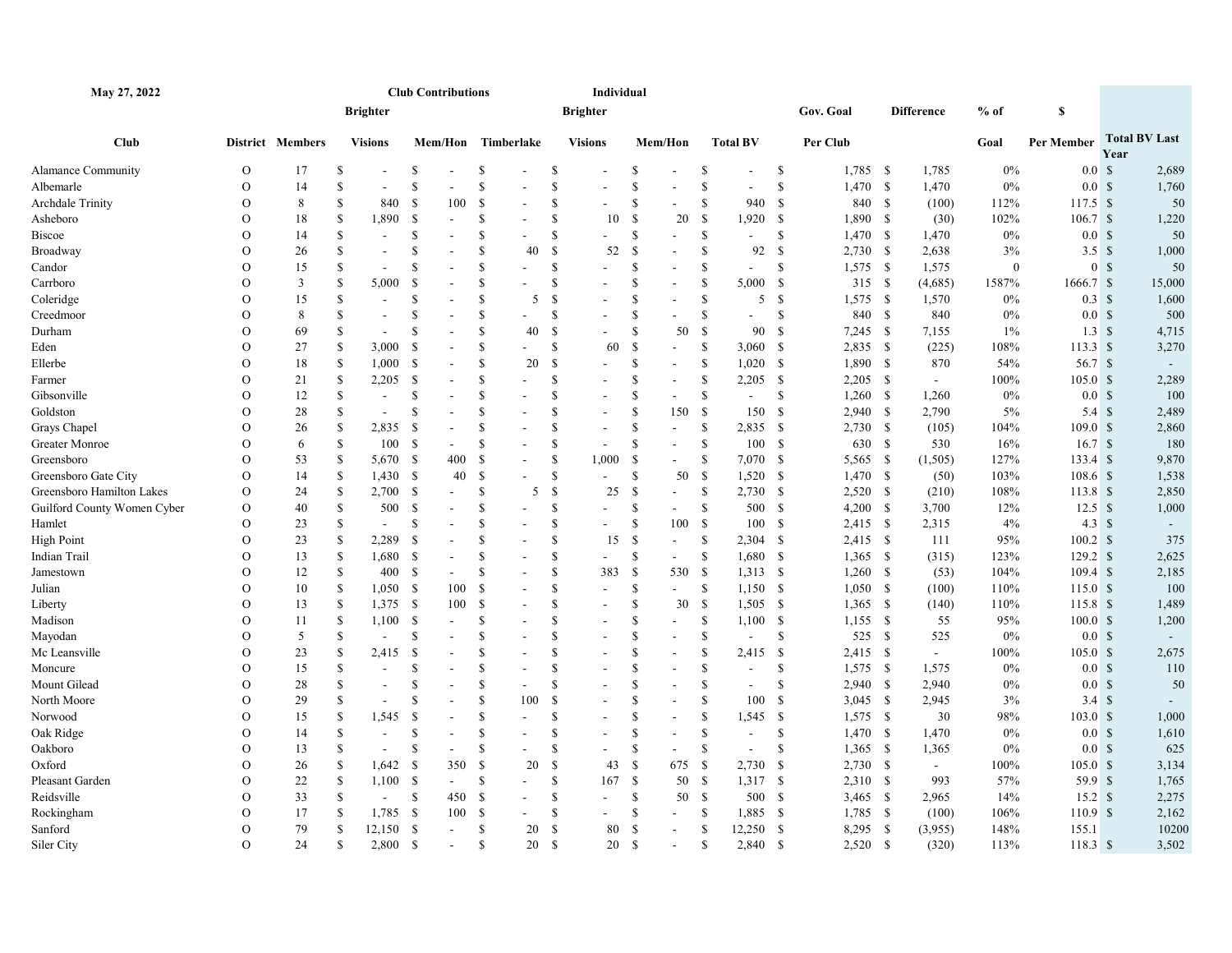| May 27, 2022                |                |                  |               |                          |                           | <b>Club Contributions</b> |               |     |               | Individual               |               |                          |                    |                          |               |            |              |                   |              |                     |      |                      |
|-----------------------------|----------------|------------------|---------------|--------------------------|---------------------------|---------------------------|---------------|-----|---------------|--------------------------|---------------|--------------------------|--------------------|--------------------------|---------------|------------|--------------|-------------------|--------------|---------------------|------|----------------------|
|                             |                |                  |               | <b>Brighter</b>          |                           |                           |               |     |               | <b>Brighter</b>          |               |                          |                    |                          |               | Gov. Goal  |              | <b>Difference</b> | $%$ of       | \$                  |      |                      |
| <b>Club</b>                 |                | District Members |               | <b>Visions</b>           |                           | Mem/Hon Timberlake        |               |     |               | <b>Visions</b>           |               | Mem/Hon                  |                    | <b>Total BV</b>          |               | Per Club   |              |                   | Goal         | Per Member          | Year | <b>Total BV Last</b> |
| Alamance Community          | $\mathbf O$    | 17               | S             |                          | \$                        |                           | \$            |     | \$            |                          | \$            |                          | -S                 |                          | \$            | $1,785$ \$ |              | 1,785             | $0\%$        | 0.0 <sup>5</sup>    |      | 2,689                |
| Albemarle                   | $\mathbf{O}$   | 14               | <sup>S</sup>  |                          | <sup>\$</sup>             |                           | $\mathbf S$   |     | $\mathbf S$   |                          | \$            |                          | $\mathbf{\hat{S}}$ |                          | \$            | 1,470      | -S           | 1,470             | $0\%$        | 0.0 <sup>5</sup>    |      | 1,760                |
| <b>Archdale Trinity</b>     | $\Omega$       | 8                | <sup>\$</sup> | 840                      | <sup>S</sup>              | 100                       | $\mathbf S$   |     | \$            |                          | \$            |                          | \$                 | 940                      | \$            | 840 \$     |              | (100)             | 112%         | $117.5$ \$          |      | 50                   |
| Asheboro                    | $\mathcal{O}$  | 18               | <sup>S</sup>  | 1,890                    | - \$                      |                           | S             |     | $\mathbf S$   | 10                       | -S            | 20                       | $\mathcal{S}$      | $1,920$ \$               |               | 1,890 \$   |              | (30)              | 102%         | 106.7 S             |      | 1,220                |
| Biscoe                      | $\overline{O}$ | 14               | S             |                          | <sup>S</sup>              | $\blacksquare$            | S             |     | $\mathcal{S}$ | $\overline{\phantom{a}}$ | \$            | $\overline{a}$           | \$                 | $\overline{a}$           | <sup>\$</sup> | 1,470      | -S           | 1,470             | $0\%$        | 0.0 <sup>5</sup>    |      | 50                   |
| Broadway                    | $\overline{O}$ | 26               | <sup>S</sup>  |                          | <sup>S</sup>              |                           | $\mathbf S$   | 40  | \$            | 52                       | \$            |                          | \$                 | 92                       | \$            | $2,730$ \$ |              | 2,638             | 3%           | 3.5 <sup>8</sup>    |      | 1,000                |
| Candor                      | $\Omega$       | 15               | <sup>S</sup>  |                          | <sup>S</sup>              |                           | S             |     | <sup>\$</sup> | ÷.                       | \$            | $\overline{a}$           | \$                 | $\overline{a}$           | S             | 1,575      | -S           | 1,575             | $\mathbf{0}$ | 0 S                 |      | 50                   |
| Carrboro                    | $\mathbf{O}$   | 3                | <sup>S</sup>  | 5,000                    | <sup>S</sup>              |                           | S             |     | <sup>\$</sup> | $\overline{\phantom{a}}$ | \$            | $\overline{a}$           | \$                 | 5,000                    | -S            | 315S       |              | (4,685)           | 1587%        | 1666.7 \$           |      | 15,000               |
| Coleridge                   | $\overline{O}$ | 15               | <sup>\$</sup> | $\overline{\phantom{a}}$ | <sup>\$</sup>             |                           | \$            | 5   | \$            | L.                       | $\mathbf{s}$  | $\overline{a}$           | <sup>\$</sup>      | 5                        | - \$          | 1,575      | -S           | 1,570             | $0\%$        | $0.3 \text{ }$ \$   |      | 1,600                |
| Creedmoor                   | $\Omega$       | 8                | S             | $\blacksquare$           | <sup>S</sup>              |                           | $\mathbf S$   |     | <sup>S</sup>  |                          | <sup>\$</sup> | $\overline{a}$           | \$                 | $\overline{\phantom{a}}$ | S             | 840 \$     |              | 840               | $0\%$        | 0.0 <sup>5</sup>    |      | 500                  |
| Durham                      | $\mathcal{O}$  | 69               | <sup>S</sup>  | $\overline{a}$           | <sup>\$</sup>             |                           | \$            | 40  | <sup>\$</sup> |                          | \$            | 50                       | \$                 | 90                       | -S            | $7,245$ \$ |              | 7,155             | $1\%$        | $1.3 \quad$         |      | 4,715                |
| Eden                        | $\overline{O}$ | 27               | S             | 3,000                    | <sup>S</sup>              |                           | S             |     | <sup>\$</sup> | 60                       | <sup>\$</sup> | $\blacksquare$           | \$                 | 3,060                    | - \$          | 2,835      | $\mathbf{s}$ | (225)             | 108%         | $113.3 \text{ }$ \$ |      | 3,270                |
| Ellerbe                     | $\mathcal{O}$  | 18               | <sup>\$</sup> | 1,000                    | - \$                      |                           | <sup>\$</sup> | 20  | <sup>\$</sup> | $\blacksquare$           | <sup>\$</sup> | $\overline{a}$           | \$                 | $1,020$ \$               |               | 1,890 \$   |              | 870               | 54%          | 56.7 $\sqrt{s}$     |      |                      |
| Farmer                      | $\mathbf O$    | 21               | \$            | 2,205                    | <sup>\$</sup>             |                           | \$            |     | <sup>\$</sup> |                          | \$            | $\overline{a}$           | \$                 | 2,205                    | - \$          | 2,205      | -S           | $\sim$            | 100%         | 105.0 <sup>°</sup>  |      | 2,289                |
| Gibsonville                 | $\overline{O}$ | 12               | S             | $\overline{\phantom{a}}$ | <sup>S</sup>              |                           | <sup>\$</sup> |     | <sup>\$</sup> | $\overline{\phantom{a}}$ | \$            | $\overline{\phantom{a}}$ | \$                 | $\sim$                   | \$            | 1,260      | - \$         | 1,260             | $0\%$        | 0.0 <sup>5</sup>    |      | 100                  |
| Goldston                    | $\mathcal{O}$  | 28               | S             | $\overline{\phantom{a}}$ | <sup>S</sup>              |                           | <sup>\$</sup> |     | <sup>\$</sup> | $\overline{\phantom{0}}$ | \$            | 150                      | -S                 | 150                      | <sup>\$</sup> | 2,940      | - \$         | 2,790             | 5%           | $5.4 \text{ }$ \$   |      | 2,489                |
| Grays Chapel                | $\mathcal{O}$  | 26               | S             | 2,835                    | -S                        |                           | $\mathbf S$   |     | <sup>S</sup>  | $\overline{\phantom{a}}$ | \$            | $\overline{\phantom{a}}$ | \$                 | $2,835$ \$               |               | $2,730$ \$ |              | (105)             | 104%         | 109.0 S             |      | 2,860                |
| Greater Monroe              | $\mathcal{O}$  | 6                | <sup>\$</sup> | 100                      | - \$                      |                           | $\mathbf S$   |     | \$            | $\overline{\phantom{a}}$ | \$            | $\overline{a}$           | \$                 | 100S                     |               | 630 \$     |              | 530               | 16%          | 16.7S               |      | 180                  |
| Greensboro                  | $\mathcal{O}$  | 53               | S             | 5,670                    | - \$                      | 400                       | <sup>\$</sup> |     | <sup>\$</sup> | 1,000                    | <sup>S</sup>  | $\overline{a}$           | -S                 | 7,070 \$                 |               | 5,565      | - \$         | (1,505)           | 127%         | $133.4 \text{ }$ \$ |      | 9,870                |
| Greensboro Gate City        | $\mathcal{O}$  | 14               | <sup>\$</sup> | 1,430                    | - \$                      | 40                        | <sup>S</sup>  |     | <sup>\$</sup> | $\sim$                   | \$            | 50                       | $\mathcal{S}$      | $1,520$ \$               |               | $1,470$ \$ |              | (50)              | 103%         | $108.6\;$ \$        |      | 1,538                |
| Greensboro Hamilton Lakes   | $\mathcal{O}$  | 24               | S             | 2,700                    | - \$                      | $\blacksquare$            | S             | 5   | <sup>\$</sup> | 25                       | \$            | $\overline{a}$           | \$                 | 2,730                    | - \$          | 2,520      | - \$         | (210)             | 108%         | 113.8 S             |      | 2,850                |
| Guilford County Women Cyber | O              | 40               | \$            | 500                      | $\boldsymbol{\mathsf{S}}$ |                           | <sup>\$</sup> |     | <sup>\$</sup> | $\blacksquare$           | \$            | $\sim$                   | \$                 | 500 \$                   |               | $4,200$ \$ |              | 3,700             | 12%          | $12.5 \text{ }$ \$  |      | 1,000                |
| Hamlet                      | $\mathcal{O}$  | 23               | S             | $\sim$                   | S                         |                           | <sup>\$</sup> |     | <sup>\$</sup> | $\blacksquare$           | \$            | 100                      | -S                 | 100                      | -S            | 2,415 \$   |              | 2,315             | 4%           | $4.3 \text{ } $s$   |      |                      |
| High Point                  | $\mathbf{O}$   | 23               | S             | 2,289                    | <sup>S</sup>              |                           | <sup>\$</sup> |     | <sup>\$</sup> | 15                       | \$            | $\blacksquare$           | \$                 | 2,304                    | - \$          | $2,415$ \$ |              | 111               | 95%          | $100.2 \text{ }$ \$ |      | 375                  |
| Indian Trail                | $\overline{O}$ | 13               | S             | 1,680                    | -S                        |                           | $\mathbf S$   |     | <sup>S</sup>  | ÷                        | \$            | $\overline{a}$           | -S                 | 1,680                    | - \$          | $1,365$ \$ |              | (315)             | 123%         | 129.2 S             |      | 2,625                |
| Jamestown                   | $\overline{O}$ | 12               | \$            | 400                      | - \$                      |                           | \$            |     | \$            | 383                      | \$            | 530                      | -\$                | $1,313$ \$               |               | $1,260$ \$ |              | (53)              | 104%         | $109.4 \text{ }$ \$ |      | 2,185                |
| Julian                      | $\mathcal{O}$  | 10               | S             | $1,050$ \$               |                           | 100                       | <sup>\$</sup> |     | $\mathbf S$   | ÷.                       | <sup>\$</sup> | $\overline{a}$           | -S                 | $1,150$ \$               |               | $1,050$ \$ |              | (100)             | 110%         | 115.0 S             |      | 100                  |
| Liberty                     | $\mathcal{O}$  | 13               | \$            | 1,375                    | - \$                      | 100                       | $\mathbf S$   |     | \$            | $\overline{a}$           | \$            | 30                       | \$                 | 1,505                    | - \$          | 1,365      | -S           | (140)             | 110%         | 115.8 <sup>°</sup>  |      | 1,489                |
| Madison                     | $\mathcal{O}$  | 11               | <sup>\$</sup> | 1,100                    | - \$                      |                           | S             |     | \$            |                          | $\mathbb{S}$  | $\overline{a}$           | \$                 | 1,100                    | - \$          | $1,155$ \$ |              | 55                | 95%          | $100.0 \text{ }$ \$ |      | 1,200                |
| Mayodan                     | $\Omega$       | 5                | $\mathbf S$   | $\overline{a}$           | <sup>\$</sup>             | $\overline{a}$            | \$            |     | \$            | L.                       | \$            | $\overline{a}$           | \$                 | $\overline{a}$           | \$.           | 525        | - \$         | 525               | $0\%$        | 0.0 <sup>5</sup>    |      |                      |
| Mc Leansville               | $\mathcal{O}$  | 23               | <sup>S</sup>  | 2,415                    | $\mathcal{S}$             |                           | $\mathbf S$   |     | $\mathbf S$   | $\sim$                   | \$            | $\overline{a}$           | \$                 | 2,415                    | -S            | 2,415 \$   |              | $\sim$            | 100%         | 105.0 <sup>°</sup>  |      | 2,675                |
| Moncure                     | $\mathcal{O}$  | 15               | <sup>\$</sup> | $\sim$                   | <sup>\$</sup>             |                           | \$            | ÷,  | \$            | L.                       | \$            | $\overline{a}$           | <sup>\$</sup>      | $\overline{a}$           | <sup>\$</sup> | 1,575      | - \$         | 1,575             | $0\%$        | 0.0 <sup>5</sup>    |      | 110                  |
| Mount Gilead                | $\mathcal{O}$  | 28               | \$            | $\overline{\phantom{a}}$ | <sup>\$</sup>             |                           | S             |     | <sup>\$</sup> |                          | <sup>\$</sup> | $\overline{a}$           | <sup>\$</sup>      | $\blacksquare$           | \$            | $2,940$ \$ |              | 2,940             | $0\%$        | 0.0 <sup>5</sup>    |      | 50                   |
| North Moore                 | $\overline{O}$ | 29               | $\mathbf S$   |                          | <sup>\$</sup>             |                           | $\mathbf S$   | 100 | \$            |                          | \$            |                          | <sup>\$</sup>      | 100                      | <sup>\$</sup> | $3,045$ \$ |              | 2,945             | 3%           | 3.4 <sup>°</sup>    |      |                      |
| Norwood                     | $\Omega$       | 15               | S             | 1,545                    | $\mathcal{S}$             | $\sim$                    | $\mathbf S$   |     | <sup>\$</sup> | $\overline{a}$           | \$            | $\blacksquare$           | \$                 | 1,545                    | -S            | 1,575      | - \$         | 30                | 98%          | 103.0 S             |      | 1,000                |
| Oak Ridge                   | $\mathcal{O}$  | 14               | S             | $\overline{a}$           | S                         |                           | S             |     | <sup>\$</sup> | ÷,                       | $\mathbf S$   |                          | \$                 | $\sim$                   | \$.           | 1,470      | $\mathbb S$  | 1,470             | $0\%$        | 0.0 <sup>5</sup>    |      | 1,610                |
| Oakboro                     | $\mathcal{O}$  | 13               | <sup>S</sup>  | $\sim$                   | <sup>S</sup>              | $\blacksquare$            | \$            |     | <sup>S</sup>  |                          | \$            | $\overline{a}$           | \$                 | $\sim$                   | \$            | 1,365      | -S           | 1,365             | $0\%$        | 0.0 <sup>5</sup>    |      | 625                  |
| Oxford                      | $\overline{O}$ | 26               | \$            | 1,642                    | $\mathcal{S}$             | 350                       | \$            | 20  | \$            | 43                       | \$            | 675                      | -\$                | 2,730                    | -\$           | $2,730$ \$ |              | $\sim$            | 100%         | 105.0 <sup>°</sup>  |      | 3,134                |
| Pleasant Garden             | $\mathcal{O}$  | 22               | <sup>S</sup>  | 1,100                    | - \$                      | $\overline{\phantom{a}}$  | S             |     | <sup>\$</sup> | 167                      | -S            | 50                       | -S                 | 1,317                    | -S            | 2,310      | - \$         | 993               | 57%          | 59.9S               |      | 1,765                |
| Reidsville                  | $\mathcal{O}$  | 33               | \$            | $\sim$                   | <sup>\$</sup>             | 450                       | <sup>\$</sup> |     | <sup>S</sup>  | ÷.                       | <sup>\$</sup> | 50                       | -\$                | 500 \$                   |               | $3,465$ \$ |              | 2,965             | 14%          | 15.2 S              |      | 2,275                |
| Rockingham                  | $\mathcal{O}$  | 17               | S             | 1,785                    | - \$                      | 100                       | $\mathbf S$   |     | <sup>S</sup>  | $\overline{a}$           | \$            | $\overline{a}$           | \$                 | 1,885                    | - \$          | 1,785      | <b>S</b>     | (100)             | 106%         | 110.9 <sup>°</sup>  |      | 2,162                |
| Sanford                     | $\Omega$       | 79               | S             | 12,150                   | - S                       | $\sim$                    | S             | 20  | $\mathcal{S}$ | 80                       | \$            | $\overline{a}$           | -S                 | 12,250 \$                |               | 8,295      | - \$         | (3,955)           | 148%         | 155.1               |      | 10200                |
|                             | $\Omega$       | 24               | $\mathbf S$   | 2,800                    | - \$                      |                           | $\mathbf S$   | 20S |               | 20                       | <sup>S</sup>  | $\overline{a}$           | <sup>\$</sup>      | $2,840$ \$               |               | $2,520$ \$ |              | (320)             | 113%         | $118.3 \text{ }$ \$ |      | 3,502                |
| Siler City                  |                |                  |               |                          |                           |                           |               |     |               |                          |               |                          |                    |                          |               |            |              |                   |              |                     |      |                      |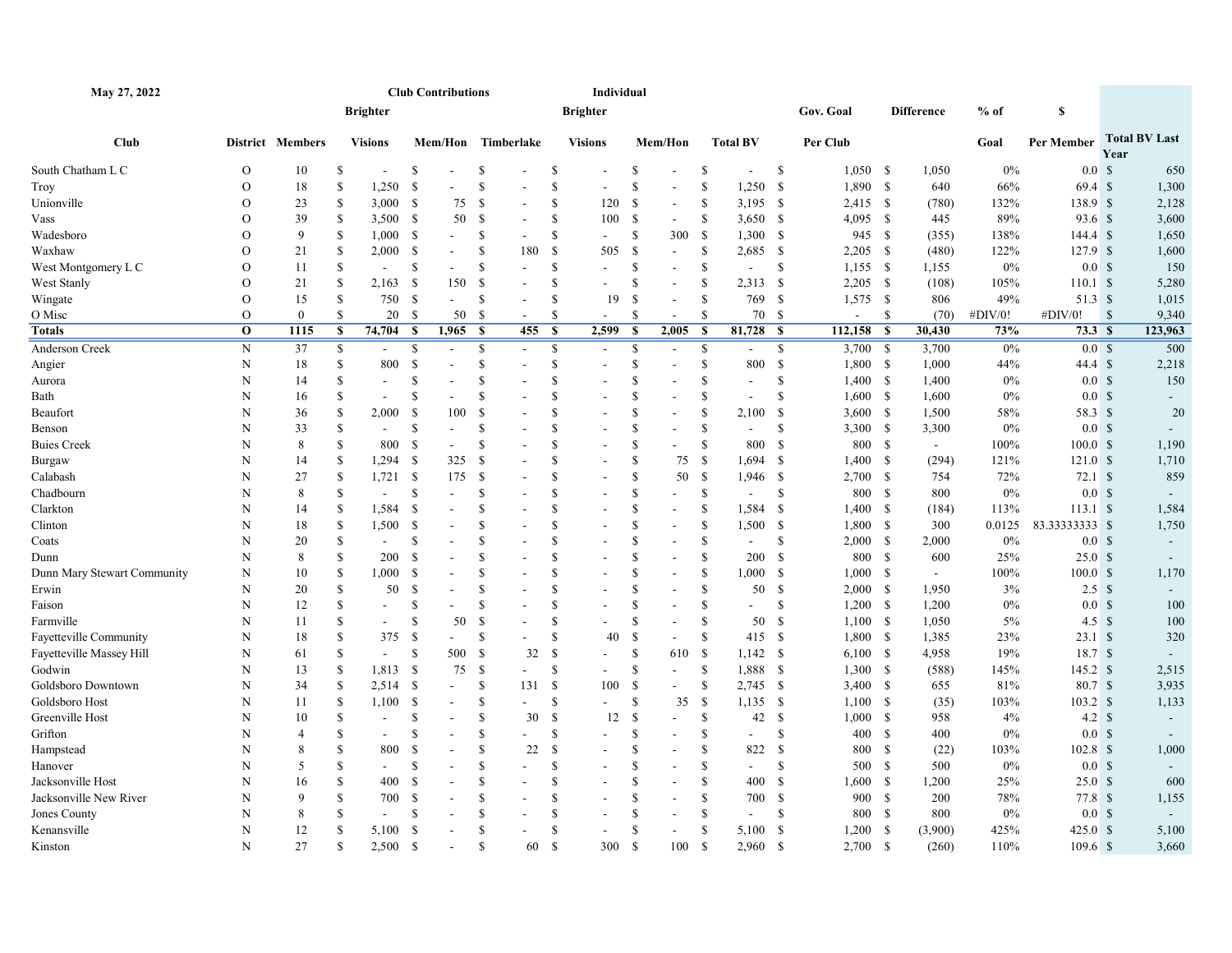| May 27, 2022                |                |                  |               |                 |               | <b>Club Contributions</b> |               |                |               | Individual               |                    |                          |               |                          |               |            |               |                   |         |                     |              |                      |
|-----------------------------|----------------|------------------|---------------|-----------------|---------------|---------------------------|---------------|----------------|---------------|--------------------------|--------------------|--------------------------|---------------|--------------------------|---------------|------------|---------------|-------------------|---------|---------------------|--------------|----------------------|
|                             |                |                  |               | <b>Brighter</b> |               |                           |               |                |               | <b>Brighter</b>          |                    |                          |               |                          |               | Gov. Goal  |               | <b>Difference</b> | $%$ of  | S                   |              |                      |
| <b>Club</b>                 |                | District Members |               | <b>Visions</b>  |               | Mem/Hon Timberlake        |               |                |               | <b>Visions</b>           |                    | Mem/Hon                  |               | <b>Total BV</b>          |               | Per Club   |               |                   | Goal    | Per Member          | Year         | <b>Total BV Last</b> |
| South Chatham L C           | $\mathcal{O}$  | 10               | S             |                 | <sup>\$</sup> |                           | \$            |                | \$            | $\overline{\phantom{a}}$ | \$                 |                          | \$            | $\overline{\phantom{a}}$ | -S            | $1,050$ \$ |               | 1,050             | 0%      | 0.0 <sup>5</sup>    |              | 650                  |
| Troy                        | $\mathcal{O}$  | 18               | S             | 1,250           | <sup>\$</sup> |                           | \$            |                | \$            | $\overline{\phantom{a}}$ | \$                 | $\overline{a}$           | <sup>\$</sup> | 1,250                    | -S            | 1,890      | - \$          | 640               | 66%     | 69.4S               |              | 1,300                |
| Unionville                  | $\mathcal{O}$  | 23               | S             | $3,000$ \$      |               | 75                        | $\mathbb{S}$  |                | \$            | 120                      | <sup>\$</sup>      | $\blacksquare$           | <sup>\$</sup> | $3,195$ \$               |               | $2,415$ \$ |               | (780)             | 132%    | 138.9 \$            |              | 2,128                |
| Vass                        | $\mathcal{O}$  | 39               | S             | 3,500 \$        |               | 50                        | <sup>\$</sup> |                | <sup>\$</sup> | 100                      | <sup>\$</sup>      | $\mathbf{r}$             | \$            | $3,650$ \$               |               | $4,095$ \$ |               | 445               | 89%     | 93.6 \$             |              | 3,600                |
| Wadesboro                   | $\overline{O}$ | 9                | S             | 1,000           | - \$          | $\overline{\phantom{a}}$  | \$            |                | <sup>\$</sup> | $\overline{\phantom{a}}$ | \$                 | 300                      | -\$           | 1,300                    | -\$           | 945 \$     |               | (355)             | 138%    | $144.4 \text{ }$ \$ |              | 1,650                |
| Waxhaw                      | $\mathbf{O}$   | 21               | <sup>\$</sup> | 2,000 S         |               |                           | \$            | 180            | - \$          | 505                      | <sup>\$</sup>      | $\blacksquare$           | <sup>\$</sup> | 2,685                    | - \$          | $2,205$ \$ |               | (480)             | 122%    | $127.9$ \$          |              | 1,600                |
| West Montgomery L C         | $\overline{O}$ | 11               | \$            | $\blacksquare$  | <sup>S</sup>  |                           | $\mathbb{S}$  |                | <sup>\$</sup> | ÷.                       | \$                 | $\overline{a}$           | <sup>\$</sup> | $\overline{\phantom{a}}$ | \$            | $1,155$ \$ |               | 1,155             | 0%      | 0.0 <sup>5</sup>    |              | 150                  |
| West Stanly                 | $\mathcal{O}$  | 21               | \$            | 2,163           | - \$          | 150                       | $\mathbb{S}$  |                | <sup>\$</sup> | ÷.                       | <sup>\$</sup>      | $\blacksquare$           | <sup>\$</sup> | 2,313 \$                 |               | $2,205$ \$ |               | (108)             | 105%    | 110.1 S             |              | 5,280                |
| Wingate                     | $\overline{O}$ | 15               | S             | 750             | -S            | $\sim$                    | \$            |                | <sup>\$</sup> | 19                       | <sup>\$</sup>      | $\overline{\phantom{a}}$ | \$            | 769                      | -\$           | $1,575$ \$ |               | 806               | 49%     | 51.3 \$             |              | 1,015                |
| O Misc                      | $\Omega$       | $\theta$         | <sup>\$</sup> | 20              | - \$          | 50                        | $\mathbf S$   | $\blacksquare$ | <sup>\$</sup> | $\sim$                   | <sup>\$</sup>      | ÷,                       | \$            | 70                       | -S            | $\sim$     | <sup>\$</sup> | (70)              | #DIV/0! | #DIV/0!             | $\mathbf{s}$ | 9,340                |
| Totals                      | $\mathbf{o}$   | 1115             | \$            | 74,704          | - \$          | 1,965                     | $\mathbf{s}$  | 455 \$         |               | 2,599                    | <b>S</b>           | 2,005                    | $\mathbf{s}$  | 81,728 \$                |               | 112,158    | $\mathbf s$   | 30,430            | 73%     | 73.3 <sub>8</sub>   |              | 123,963              |
| Anderson Creek              | $\mathbf N$    | 37               | \$            |                 | \$            |                           | \$            |                | \$            |                          | \$                 | $\overline{\phantom{a}}$ | $\mathbb{S}$  |                          | \$            | 3,700      | - \$          | 3,700             | 0%      | 0.0 <sup>5</sup>    |              | 500                  |
| Angier                      | N              | 18               | S             | 800             | \$            |                           | \$            |                | <sup>\$</sup> | $\overline{a}$           | <sup>\$</sup>      |                          | \$            | 800                      | $\mathbf{\$}$ | $1,800$ \$ |               | 1,000             | 44%     | 44.4S               |              | 2,218                |
| Aurora                      | N              | 14               | S             |                 | <sup>S</sup>  |                           | $\mathbb S$   |                | \$            |                          | \$                 |                          | \$            | ÷.                       | \$            | 1,400      | - \$          | 1,400             | 0%      | 0.0 <sup>5</sup>    |              | 150                  |
| Bath                        | N              | 16               | S             |                 | <sup>\$</sup> |                           | \$            |                | \$            | $\overline{a}$           | \$                 | $\overline{\phantom{a}}$ | <sup>\$</sup> | $\blacksquare$           | <sup>\$</sup> | 1,600      | - \$          | 1,600             | 0%      | 0.0 <sup>5</sup>    |              |                      |
| Beaufort                    | N              | 36               | S             | 2,000           | <sup>\$</sup> | 100                       | \$            |                | <sup>\$</sup> | $\overline{a}$           | \$                 | $\sim$                   | <sup>\$</sup> | 2,100                    | -S            | 3,600      | - \$          | 1,500             | 58%     | 58.3 \$             |              | 20                   |
| Benson                      | N              | 33               | S             | $\sim$          | <sup>\$</sup> | $\sim$                    | <sup>S</sup>  |                | \$            | $\overline{a}$           | <sup>\$</sup>      | $\blacksquare$           | <sup>\$</sup> | $\blacksquare$           | -S            | 3,300 \$   |               | 3,300             | 0%      | 0.0 <sup>5</sup>    |              |                      |
| Buies Creek                 | N              | 8                | <sup>S</sup>  | 800             | -S            |                           | $\mathbb{S}$  |                | \$            |                          | \$                 |                          | <sup>\$</sup> | 800                      | -S            | 800 \$     |               | $\sim$            | 100%    | $100.0 \text{ }$ \$ |              | 1,190                |
| Burgaw                      | N              | 14               | S             | $1,294$ \$      |               | 325                       | $\mathbf S$   |                | <sup>\$</sup> | $\overline{a}$           | <sup>\$</sup>      | 75                       | -\$           | 1,694                    | -S            | 1,400      | - \$          | (294)             | 121%    | 121.0 S             |              | 1,710                |
| Calabash                    | N              | 27               | S             | $1,721$ \$      |               | 175                       | $\mathbf S$   |                | <sup>\$</sup> |                          | \$                 | 50                       | <sup>\$</sup> | 1,946                    | -\$           | $2,700$ \$ |               | 754               | 72%     | $72.1 \text{ }$ \$  |              | 859                  |
| Chadbourn                   | N              | 8                | S             |                 | <sup>S</sup>  |                           | \$            |                | <sup>\$</sup> | $\overline{a}$           | <sup>\$</sup>      |                          | \$            | $\blacksquare$           | <sup>\$</sup> | 800        | - \$          | 800               | 0%      | 0.0 <sup>5</sup>    |              |                      |
| Clarkton                    | N              | 14               | <sup>\$</sup> | 1,584           | -S            |                           | \$            |                | \$            |                          | \$                 | $\overline{\phantom{a}}$ | <sup>\$</sup> | 1,584                    | -S            | 1,400      | - \$          | (184)             | 113%    | 113.1 S             |              | 1,584                |
| Clinton                     | N              | 18               | <sup>\$</sup> | 1,500           | -S            |                           | \$            |                | \$            | $\blacksquare$           | \$                 | $\blacksquare$           | <sup>\$</sup> | 1,500                    | -S            | 1,800      | - \$          | 300               | 0.0125  | 83.33333333 \$      |              | 1,750                |
| Coats                       | N              | 20               | S             | $\sim$          | <sup>\$</sup> |                           | \$            |                | \$            | $\overline{a}$           | \$                 | $\overline{\phantom{a}}$ | <sup>\$</sup> | $\overline{\phantom{a}}$ | <sup>\$</sup> | 2,000      | - \$          | 2,000             | 0%      | 0.0 <sup>5</sup>    |              |                      |
| Dunn                        | N              | 8                | <sup>\$</sup> | 200             | <sup>\$</sup> |                           | $\mathbf S$   |                | \$            |                          | $\mathbf{\hat{S}}$ | L.                       | <sup>\$</sup> | 200                      | -S            | 800        | <b>S</b>      | 600               | 25%     | 25.0 <sup>°</sup>   |              |                      |
| Dunn Mary Stewart Community | N              | 10               | <sup>\$</sup> | 1,000           | -S            |                           | \$            |                | \$            | $\overline{a}$           | <sup>\$</sup>      | $\overline{a}$           | <sup>\$</sup> | 1,000                    | - \$          | $1,000$ \$ |               | $\sim$            | 100%    | 100.0 <sup>°</sup>  |              | 1,170                |
| Erwin                       | N              | 20               | <sup>\$</sup> | 50              | <sup>S</sup>  |                           | $\mathbf S$   |                | \$            |                          | $\mathbf{\hat{S}}$ |                          | <sup>\$</sup> | 50                       | -S            | $2,000$ \$ |               | 1,950             | 3%      | $2.5 \text{ }$ \$   |              |                      |
| Faison                      | N              | 12               | S             |                 | <sup>S</sup>  |                           | \$            |                | \$            |                          | <sup>\$</sup>      | $\overline{\phantom{a}}$ | \$            | ٠                        | \$            | $1,200$ \$ |               | 1,200             | 0%      | 0.0 <sup>5</sup>    |              | 100                  |
| Farmville                   | N              | 11               | <sup>\$</sup> |                 | <sup>S</sup>  | 50                        | \$            |                | <sup>\$</sup> |                          | \$                 |                          | \$            | 50                       | <sup>\$</sup> | $1,100$ \$ |               | 1,050             | 5%      | 4.5 $\sqrt{3}$      |              | 100                  |
| Fayetteville Community      | N              | 18               | S             | 375             | -S            |                           | $\mathbb{S}$  |                | <sup>\$</sup> | 40                       | <sup>\$</sup>      | $\mathbf{r}$             | \$            | 415                      | - \$          | 1,800      | - \$          | 1,385             | 23%     | $23.1 \text{ }$ \$  |              | 320                  |
| Fayetteville Massey Hill    | N              | 61               | <sup>\$</sup> | $\sim$          | -S            | 500                       | \$            | 32             | - \$          | $\blacksquare$           | \$                 | 610                      | -\$           | $1,142$ \$               |               | $6,100$ \$ |               | 4,958             | 19%     | 18.7 <sup>8</sup>   |              |                      |
| Godwin                      | N              | 13               | S             | 1,813           | - S           | 75                        | <sup>S</sup>  |                | <sup>S</sup>  | $\blacksquare$           | \$                 | $\blacksquare$           | <sup>\$</sup> | 1,888                    | - \$          | 1,300 \$   |               | (588)             | 145%    | $145.2 \text{ }$ \$ |              | 2,515                |
| Goldsboro Downtown          | N              | 34               | \$            | $2,514$ \$      |               |                           | \$            | 131S           |               | 100                      | \$                 | ÷,                       | \$            | $2,745$ \$               |               | $3,400$ \$ |               | 655               | 81%     | 80.7S               |              | 3,935                |
| Goldsboro Host              | N              | 11               | S             | 1,100           | - \$          |                           | \$            |                | \$            |                          | \$                 | 35                       | - \$          | $1,135$ \$               |               | 1,100S     |               | (35)              | 103%    | $103.2 \text{ }$ \$ |              | 1,133                |
| Greenville Host             | N              | 10               | S             | $\sim$          | <sup>\$</sup> | $\sim$                    | \$            | 30             | $\mathcal{S}$ | 12                       | <sup>\$</sup>      |                          | \$            | 42                       | $\mathbf{\$}$ | $1,000$ \$ |               | 958               | 4%      | $4.2 \quad$         |              | $\sim$               |
| Grifton                     | N              | $\overline{4}$   | S             |                 | S             |                           | \$            |                | <sup>S</sup>  |                          | <sup>\$</sup>      |                          | $\mathbb S$   | $\blacksquare$           | \$            | 400        | - \$          | 400               | 0%      | 0.0 <sup>5</sup>    |              |                      |
| Hampstead                   | N              | 8                | <sup>S</sup>  | 800             | <sup>S</sup>  |                           | \$            | 22             | $\mathcal{S}$ |                          | \$                 |                          | \$            | 822                      | <sup>\$</sup> | 800        | <sup>\$</sup> | (22)              | 103%    | $102.8$ \$          |              | 1,000                |
| Hanover                     | N              | 5                | \$            |                 | <sup>\$</sup> |                           | \$            |                | <sup>\$</sup> |                          | \$                 | $\blacksquare$           | <sup>\$</sup> |                          | -S            | 500        | - \$          | 500               | 0%      | 0.0 <sup>5</sup>    |              |                      |
| Jacksonville Host           | N              | 16               | S             | 400             | <sup>S</sup>  |                           | \$            |                | <sup>\$</sup> | $\sim$                   | \$                 | $\blacksquare$           | \$            | 400                      | -S            | 1,600      | \$            | 1,200             | 25%     | 25.0 <sup>°</sup>   |              | 600                  |
| Jacksonville New River      | N              | 9                | S             | 700             | -S            |                           | S.            |                | <sup>\$</sup> |                          | <sup>\$</sup>      | $\overline{a}$           | <sup>\$</sup> | 700                      | -S            | 900 \$     |               | 200               | 78%     | 77.8S               |              | 1,155                |
| Jones County                | N              | 8                | S             |                 | <sup>\$</sup> |                           | <sup>S</sup>  |                | \$            |                          | \$                 |                          | \$            | ÷,                       | \$            | 800        | - \$          | 800               | 0%      | 0.0 <sup>5</sup>    |              |                      |
| Kenansville                 | N              | 12               | S             | 5,100           | <sup>S</sup>  |                           | <sup>S</sup>  |                | <sup>\$</sup> | $\mathbf{r}$             | <sup>\$</sup>      | $\mathbf{r}$             | <sup>\$</sup> | 5,100                    | -S            | 1,200      | - \$          | (3,900)           | 425%    | 425.0 S             |              | 5,100                |
| Kinston                     | N              | 27               | <sup>\$</sup> | 2,500           | -S            |                           | \$            | 60             | - \$          | 300                      | <sup>\$</sup>      | 100                      | <sup>\$</sup> | 2,960                    | -S            | 2,700      | - \$          | (260)             | 110%    | $109.6$ \$          |              | 3,660                |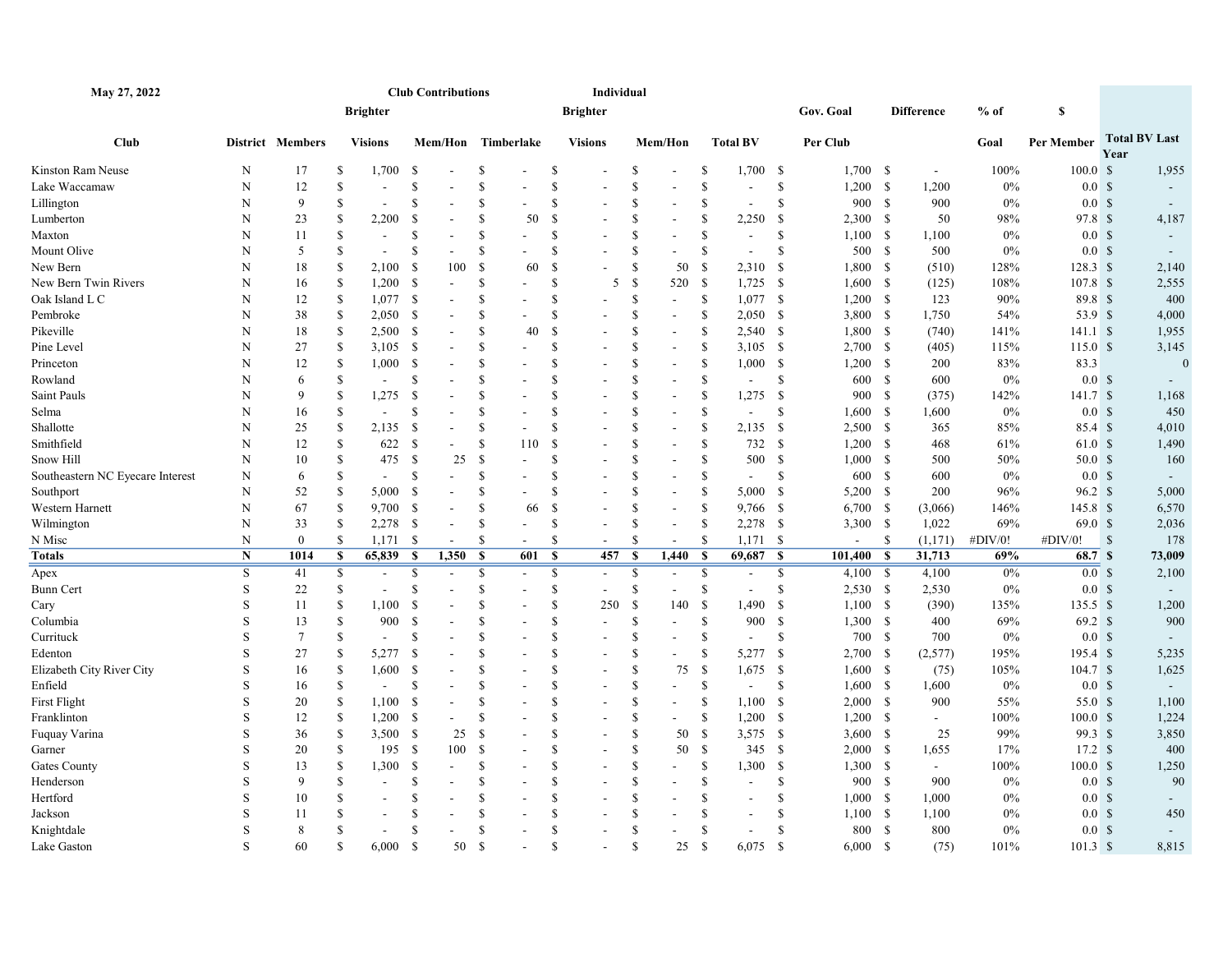| May 27, 2022                     |             |                  |                  |                          |               | <b>Club Contributions</b> |                                          |     |                    | Individual               |                    |                          |                    |                          |                    |                |    |                   |         |                     |              |                      |
|----------------------------------|-------------|------------------|------------------|--------------------------|---------------|---------------------------|------------------------------------------|-----|--------------------|--------------------------|--------------------|--------------------------|--------------------|--------------------------|--------------------|----------------|----|-------------------|---------|---------------------|--------------|----------------------|
|                                  |             |                  |                  | <b>Brighter</b>          |               |                           |                                          |     |                    | <b>Brighter</b>          |                    |                          |                    |                          |                    | Gov. Goal      |    | <b>Difference</b> | $%$ of  | \$                  |              |                      |
| <b>Club</b>                      |             | District Members |                  | <b>Visions</b>           |               |                           | Mem/Hon Timberlake                       |     |                    | <b>Visions</b>           |                    | Mem/Hon                  |                    | <b>Total BV</b>          |                    | Per Club       |    |                   | Goal    | Per Member          | Year         | <b>Total BV Last</b> |
| Kinston Ram Neuse                | N           | 17               | <sup>S</sup>     | 1,700                    | -S            |                           | S                                        |     | \$                 |                          | -S                 | $\overline{\phantom{a}}$ | \$                 | $1,700$ \$               |                    | 1,700S         |    | $\sim$            | 100%    | 100.0 S             |              | 1,955                |
| Lake Waccamaw                    | N           | 12               | $\mathbf S$      | $\sim$                   | \$            |                           | <sup>S</sup>                             |     | <sup>\$</sup>      |                          | $\mathbf{\hat{S}}$ |                          | \$                 | $\sim$                   | \$                 | $1,200$ \$     |    | 1,200             | $0\%$   | 0.0 <sup>5</sup>    |              |                      |
| Lillington                       | N           | 9                | <sup>\$</sup>    | $\overline{\phantom{a}}$ | S             |                           | $\mathbf S$                              |     | <sup>\$</sup>      |                          | $\mathbf{\hat{s}}$ | $\sim$                   | \$                 | $\sim$                   | \$                 | 900 \$         |    | 900               | 0%      | 0.0 <sup>5</sup>    |              | $\sim$               |
| Lumberton                        | N           | 23               | \$               | 2,200                    | <sup>\$</sup> |                           | S                                        | 50  | <sup>\$</sup>      |                          | <sup>\$</sup>      | $\blacksquare$           | $\mathbf S$        | 2,250                    | - \$               | $2,300$ \$     |    | 50                | 98%     | 97.8 <sup>°</sup>   |              | 4,187                |
| Maxton                           | N           | 11               | \$               |                          | <sup>\$</sup> |                           | <sup>\$</sup>                            |     | <sup>\$</sup>      |                          | <sup>\$</sup>      | $\overline{a}$           | \$                 | $\sim$                   | \$                 | $1,100$ \$     |    | 1,100             | $0\%$   | 0.0 <sup>5</sup>    |              |                      |
| Mount Olive                      | $\mathbf N$ | 5                | $\mathbf S$      |                          | $\mathbf S$   |                           | <sup>S</sup>                             |     | \$                 |                          | $\mathbf{\hat{s}}$ |                          | \$                 | $\overline{\phantom{a}}$ | \$                 | 500 \$         |    | 500               | $0\%$   | 0.0 <sup>5</sup>    |              |                      |
| New Bern                         | N           | 18               | \$               | 2,100                    | -S            | 100                       | \$                                       | 60  | \$                 |                          | <sup>\$</sup>      | 50                       | \$                 | 2,310                    | \$                 | 1,800 \$       |    | (510)             | 128%    | 128.3 \$            |              | 2,140                |
| New Bern Twin Rivers             | N           | 16               | <sup>\$</sup>    | 1,200                    | - \$          |                           | S                                        |     | \$                 | 5                        | $\mathcal{S}$      | 520                      | <sup>\$</sup>      | $1,725$ \$               |                    | 1,600S         |    | (125)             | 108%    | $107.8$ \$          |              | 2,555                |
| Oak Island L C                   | N           | 12               | $\mathbf S$      | 1,077                    | - \$          |                           | S                                        |     | <sup>\$</sup>      | $\overline{a}$           | <sup>\$</sup>      | $\overline{\phantom{a}}$ | \$                 | $1,077$ \$               |                    | $1,200$ \$     |    | 123               | 90%     | 89.8 \$             |              | 400                  |
| Pembroke                         | N           | 38               | \$               | 2,050                    | - \$          |                           | <sup>\$</sup>                            |     | <sup>\$</sup>      | L.                       | <sup>\$</sup>      | $\sim$                   | \$                 | $2,050$ \$               |                    | $3,800$ \$     |    | 1,750             | 54%     | 53.9 \$             |              | 4,000                |
| Pikeville                        | N           | 18               | \$               | 2,500                    | - \$          |                           | <sup>S</sup>                             | 40  | <sup>\$</sup>      |                          | <sup>\$</sup>      | $\blacksquare$           | \$                 | $2,540$ \$               |                    | 1,800 \$       |    | (740)             | 141%    | 141.1 S             |              | 1,955                |
| Pine Level                       | N           | 27               | \$               | 3,105                    | - \$          |                           | <sup>\$</sup>                            |     | <sup>\$</sup>      | $\overline{a}$           | <sup>\$</sup>      | $\overline{\phantom{a}}$ | \$                 | $3,105$ \$               |                    | $2,700$ \$     |    | (405)             | 115%    | 115.0 <sup>°</sup>  |              | 3,145                |
| Princeton                        | N           | 12               | <sup>\$</sup>    | 1,000                    | - \$          |                           | \$                                       |     | \$                 | $\overline{\phantom{a}}$ | <sup>\$</sup>      | $\sim$                   | <sup>\$</sup>      | 1,000 S                  |                    | $1,200$ \$     |    | 200               | 83%     | 83.3                |              | $\Omega$             |
| Rowland                          | N           | 6                | \$               |                          | \$            |                           | <sup>S</sup>                             |     | <sup>\$</sup>      |                          | <sup>\$</sup>      | $\sim$                   | \$                 | $\sim$                   | \$                 | 600 \$         |    | 600               | $0\%$   | 0.0 <sup>5</sup>    |              |                      |
| Saint Pauls                      | N           | 9                | $\mathbf S$      | 1,275                    | <sup>\$</sup> |                           | <sup>\$</sup>                            |     | \$                 |                          | <sup>\$</sup>      |                          | \$                 | 1,275                    | - \$               | 900 \$         |    | (375)             | 142%    | 141.7 \$            |              | 1,168                |
| Selma                            | N           | 16               | $\mathbf S$      | $\sim$                   | S             |                           | <sup>S</sup>                             |     | \$                 |                          | $\mathbf{\hat{s}}$ | $\blacksquare$           | $\mathsf{\$}$      | $\overline{\phantom{a}}$ | \$                 | 1,600S         |    | 1,600             | $0\%$   | 0.0 <sup>5</sup>    |              | 450                  |
| Shallotte                        | N           | 25               | \$               | 2,135                    | - \$          |                           | <sup>\$</sup><br>$\sim$                  |     | \$                 | $\overline{a}$           | <sup>\$</sup>      | $\sim$                   | <sup>\$</sup>      | $2,135$ \$               |                    | $2,500$ \$     |    | 365               | 85%     | 85.4 <sup>°</sup>   |              | 4,010                |
| Smithfield                       | N           | 12               | $\mathbf S$      | 622                      | - \$          |                           | <sup>S</sup>                             | 110 | <sup>\$</sup>      |                          | $\mathbf{\hat{s}}$ |                          | \$                 | 732                      | - \$               | 1,200S         |    | 468               | 61%     | 61.0 S              |              | 1,490                |
| Snow Hill                        | N           | 10               | \$               | 475                      | - \$          | 25                        | -S                                       |     | <sup>\$</sup>      |                          | $\mathbf{\hat{S}}$ | $\blacksquare$           | $\mathbf{\hat{S}}$ | 500                      | - \$               | $1,000$ \$     |    | 500               | 50%     | 50.0 <sup>°</sup>   |              | 160                  |
| Southeastern NC Eyecare Interest | N           | 6                | $\mathbf S$      |                          | <sup>\$</sup> |                           | <sup>\$</sup>                            |     | \$                 |                          | <sup>\$</sup>      | $\sim$                   | \$                 | $\overline{\phantom{a}}$ | \$                 | 600 \$         |    | 600               | 0%      | 0.0 <sup>5</sup>    |              |                      |
| Southport                        | N           | 52               | <sup>\$</sup>    | 5,000                    | - \$          |                           | <sup>S</sup>                             |     | <sup>\$</sup>      | ۰                        | <sup>\$</sup>      | $\overline{\phantom{a}}$ | \$                 | 5,000                    | - \$               | 5,200 \$       |    | 200               | 96%     | $96.2 \text{ }$ \$  |              | 5,000                |
| Western Harnett                  | N           | 67               | <sup>\$</sup>    | 9,700                    | - \$          |                           | <sup>\$</sup>                            | 66  | <sup>\$</sup>      |                          | <sup>\$</sup>      | $\sim$                   | \$                 | 9,766 \$                 |                    | $6,700$ \$     |    | (3,066)           | 146%    | 145.8 \$            |              | 6,570                |
| Wilmington                       | N           | 33               | \$               | 2,278                    | - \$          |                           | <sup>S</sup><br>$\blacksquare$           |     | <sup>\$</sup>      |                          | <sup>\$</sup>      | $\overline{\phantom{a}}$ | \$                 | $2,278$ \$               |                    | $3,300$ \$     |    | 1,022             | 69%     | 69.0 <sup>°</sup>   |              | 2,036                |
| N Misc                           | N           | $\boldsymbol{0}$ | \$               | 1,171                    | - \$          |                           | \$<br>$\sim$                             |     | \$                 | $\overline{a}$           | $\mathbf{\hat{s}}$ | $\sim$                   | \$                 | 1,171S                   |                    | $\overline{a}$ | -S | (1,171)           | #DIV/0! | #DIV/0!             | $\mathbf{s}$ | 178                  |
| Totals                           | $\mathbf N$ | 1014             | $\boldsymbol{s}$ | 65,839                   | $\mathbf{s}$  | 1,350                     | $\mathbf{s}$                             | 601 | $\mathbf{s}$       | 457                      | - \$               | 1,440                    | $\mathbf{s}$       | 69,687 \$                |                    | 101,400        | -S | 31,713            | 69%     | 68.7 \$             |              | 73,009               |
| Apex                             | S           | 41               | \$               | $\overline{\phantom{a}}$ | $\mathbb{S}$  |                           | $\mathbb{S}$<br>$\overline{\phantom{a}}$ |     | $\mathbb{S}$       | $\overline{\phantom{a}}$ | <sup>\$</sup>      | $\overline{\phantom{a}}$ | \$                 | $\overline{\phantom{a}}$ | \$                 | $4,100$ \$     |    | 4,100             | $0\%$   | 0.0 <sup>5</sup>    |              | 2,100                |
| Bunn Cert                        | S           | 22               | $\mathbf S$      |                          | S             |                           | $\mathbf S$                              |     | <sup>\$</sup>      | $\overline{a}$           | <sup>\$</sup>      | $\sim$                   | \$                 |                          | <sup>\$</sup>      | $2,530$ \$     |    | 2,530             | 0%      | 0.0 <sup>5</sup>    |              |                      |
| Cary                             | S           | 11               | $\mathbf S$      | 1,100                    | <sup>\$</sup> |                           | <sup>S</sup>                             |     | \$                 | 250                      | $\mathcal{S}$      | 140                      | $\mathbb{S}$       | 1,490                    | - \$               | $1,100$ \$     |    | (390)             | 135%    | 135.5S              |              | 1,200                |
| Columbia                         | S           | 13               | \$               | 900                      | - \$          |                           | \$                                       |     | \$                 | L.                       | <sup>\$</sup>      | $\overline{a}$           | \$                 | 900                      | - \$               | $1,300$ \$     |    | 400               | 69%     | $69.2 \text{ }$ \$  |              | 900                  |
| Currituck                        | S           | $7\phantom{.0}$  | <sup>\$</sup>    | $\blacksquare$           | S             |                           | S                                        |     | <sup>\$</sup>      |                          | $\mathbf S$        | $\overline{a}$           | $\mathsf{\$}$      | $\sim$                   | \$                 | 700 \$         |    | 700               | $0\%$   | 0.0 <sup>5</sup>    |              |                      |
| Edenton                          | S           | 27               | \$               | 5,277                    | - \$          |                           | <sup>S</sup>                             |     | \$                 |                          | <sup>\$</sup>      |                          | \$                 | 5,277 \$                 |                    | $2,700$ \$     |    | (2,577)           | 195%    | 195.4 \$            |              | 5,235                |
| Elizabeth City River City        | S           | 16               | <sup>\$</sup>    | 1,600                    | <sup>\$</sup> |                           | \$                                       |     | \$                 | $\overline{a}$           | <sup>\$</sup>      | 75                       | \$                 | 1,675                    | - \$               | 1,600S         |    | (75)              | 105%    | 104.7 S             |              | 1,625                |
| Enfield                          | S           | 16               | <sup>\$</sup>    | $\sim$                   | $\mathbb{S}$  |                           | <sup>S</sup><br>$\overline{\phantom{a}}$ |     | \$                 | $\overline{a}$           | $\mathbf{\hat{s}}$ | $\blacksquare$           | \$                 | $\sim$                   | <sup>S</sup>       | 1,600 S        |    | 1,600             | $0\%$   | 0.0 <sup>5</sup>    |              | $\sim$               |
| First Flight                     | S           | 20               | \$               | 1,100                    | -S            |                           | <sup>\$</sup>                            |     | \$                 |                          | $\mathbf{\hat{s}}$ | $\overline{a}$           | \$                 | 1.100                    | -\$                | 2,000 S        |    | 900               | 55%     | 55.0 \$             |              | 1,100                |
| Franklinton                      | S           | 12               | $\mathbf S$      | 1,200                    | - \$          |                           | <sup>\$</sup>                            |     | \$                 | $\overline{a}$           | $\mathbf{\hat{s}}$ | $\blacksquare$           | $\mathsf{\$}$      | $1,200$ \$               |                    | $1,200$ \$     |    | $\sim$            | 100%    | 100.0 <sup>°</sup>  |              | 1,224                |
| Fuquay Varina                    | S           | 36               | \$               | $3,500$ \$               |               | 25                        | - \$                                     |     | \$                 | $\overline{\phantom{a}}$ | <sup>\$</sup>      | 50                       | \$                 | $3,575$ \$               |                    | 3,600 S        |    | 25                | 99%     | 99.3 \$             |              | 3,850                |
| Garner                           | S           | 20               | <sup>\$</sup>    | 195                      | - \$          | 100                       | - \$                                     |     | \$                 | $\blacksquare$           | <sup>\$</sup>      | 50                       | <sup>\$</sup>      | 345 $\sqrt{S}$           |                    | $2,000$ \$     |    | 1,655             | 17%     | $17.2 \text{ }$ \$  |              | 400                  |
| <b>Gates County</b>              | S           | 13               | \$               | 1,300                    | - \$          |                           | <sup>S</sup>                             |     | \$                 |                          | <sup>\$</sup>      |                          | \$                 | 1,300                    | $\mathbf{s}$       | $1,300$ \$     |    |                   | 100%    | 100.0 <sup>°</sup>  |              | 1,250                |
| Henderson                        | S           | 9                | $\mathbf S$      | $\overline{a}$           | S             |                           | S                                        |     | <sup>\$</sup>      |                          | $\mathbf{\hat{s}}$ |                          | \$                 | $\sim$                   | \$                 | 900 \$         |    | 900               | $0\%$   | 0.0 <sup>5</sup>    |              | 90                   |
| Hertford                         | S           | 10               | S                | $\overline{\phantom{a}}$ | S             |                           | <sup>S</sup>                             |     | \$                 | $\overline{\phantom{a}}$ | <sup>\$</sup>      | $\blacksquare$           | \$                 | $\sim$                   | \$                 | $1,000$ \$     |    | 1,000             | 0%      | 0.0 <sup>5</sup>    |              |                      |
| Jackson                          | S           | 11               | <sup>\$</sup>    | $\sim$                   | S             |                           | \$                                       |     | \$                 |                          | \$                 | $\overline{a}$           | $\mathbf{\hat{S}}$ | $\sim$                   | \$                 | $1,100$ \$     |    | 1,100             | $0\%$   | 0.0 <sup>5</sup>    |              | 450                  |
| Knightdale                       | S           | 8                | <sup>\$</sup>    |                          | S             |                           | S                                        |     | \$                 |                          | $\mathbf{\hat{s}}$ |                          | \$                 |                          | $\mathbf{\hat{S}}$ | 800 \$         |    | 800               | 0%      | 0.0 <sup>5</sup>    |              |                      |
| Lake Gaston                      | S           | 60               | $\mathbf S$      | 6,000                    | -S            | 50                        | $\mathbf S$                              |     | $\mathbf{\hat{S}}$ | L.                       | $\mathbf{\hat{S}}$ | 25                       | <sup>\$</sup>      | 6,075                    | - \$               | 6,000 S        |    | (75)              | 101%    | $101.3 \text{ }$ \$ |              | 8,815                |
|                                  |             |                  |                  |                          |               |                           |                                          |     |                    |                          |                    |                          |                    |                          |                    |                |    |                   |         |                     |              |                      |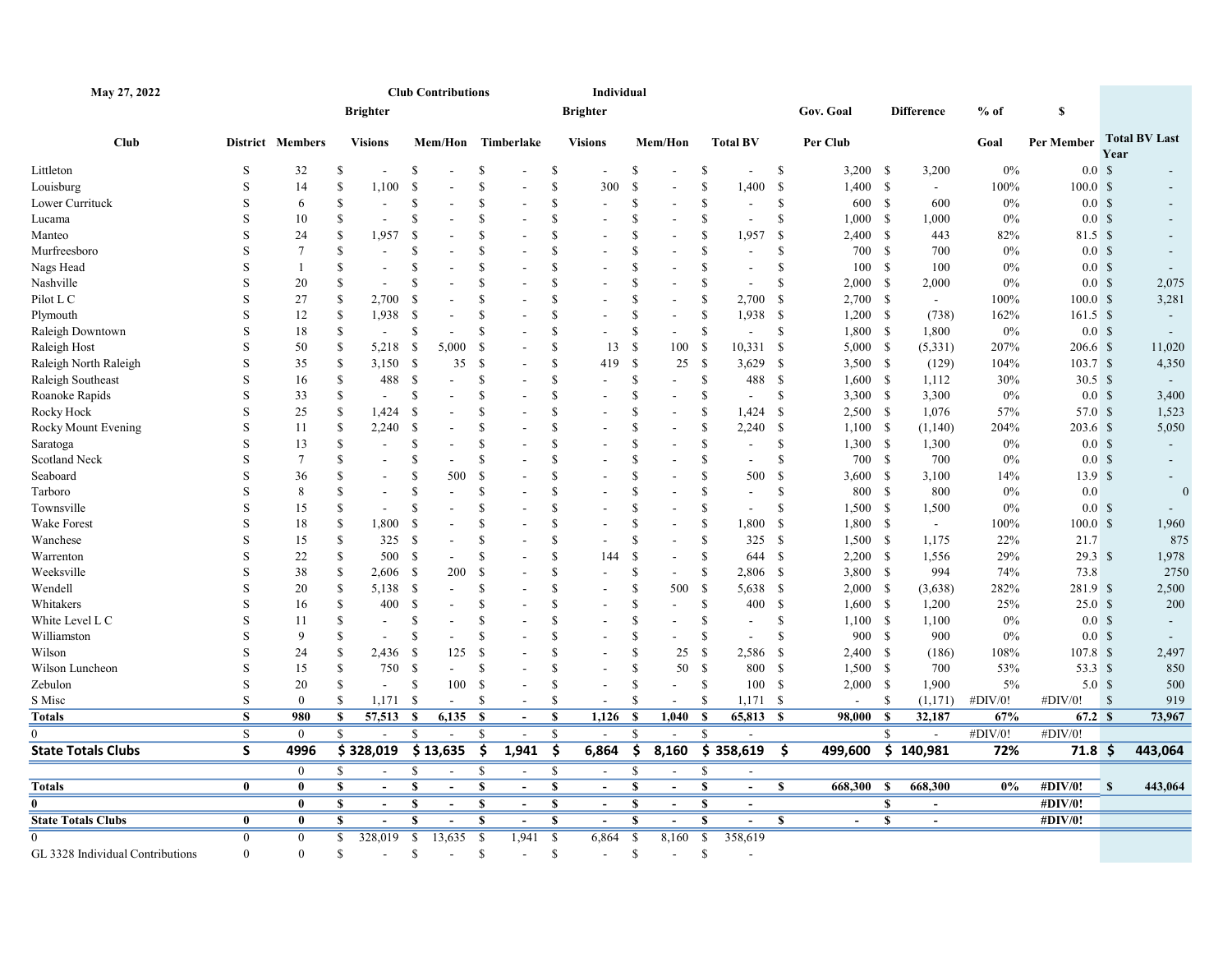| May 27, 2022                     |                         |                  |                  |                          |                         | <b>Club Contributions</b> |               |                          |               | Individual               |                    |                          |                    |                          |               |            |      |                   |         |                     |              |                      |
|----------------------------------|-------------------------|------------------|------------------|--------------------------|-------------------------|---------------------------|---------------|--------------------------|---------------|--------------------------|--------------------|--------------------------|--------------------|--------------------------|---------------|------------|------|-------------------|---------|---------------------|--------------|----------------------|
|                                  |                         |                  |                  | <b>Brighter</b>          |                         |                           |               |                          |               | <b>Brighter</b>          |                    |                          |                    |                          |               | Gov. Goal  |      | <b>Difference</b> | $%$ of  | S                   |              |                      |
| <b>Club</b>                      |                         | District Members |                  | <b>Visions</b>           |                         | Mem/Hon Timberlake        |               |                          |               | <b>Visions</b>           |                    | Mem/Hon                  |                    | <b>Total BV</b>          |               | Per Club   |      |                   | Goal    | Per Member          | Year         | <b>Total BV Last</b> |
| Littleton                        | S                       | 32               | -S               | $\overline{\phantom{a}}$ | \$                      |                           | S             |                          | \$            |                          | <sup>\$</sup>      |                          | \$                 |                          | \$            | $3,200$ \$ |      | 3,200             | $0\%$   | 0.0 <sup>5</sup>    |              |                      |
| Louisburg                        | S                       | 14               | $\mathbf S$      | 1,100                    | $\mathbb{S}$            |                           | <sup>\$</sup> |                          | \$            | 300                      | <sup>\$</sup>      | $\overline{a}$           | \$                 | 1,400                    | -\$           | $1,400$ \$ |      | $\sim$            | 100%    | 100.0 <sup>°</sup>  |              |                      |
| Lower Currituck                  | S                       | 6                | <sup>\$</sup>    | $\blacksquare$           | <sup>\$</sup>           |                           | <sup>\$</sup> |                          | <sup>\$</sup> |                          | <sup>\$</sup>      |                          | \$                 |                          | \$            | 600 \$     |      | 600               | $0\%$   | 0.0 <sup>5</sup>    |              |                      |
| Lucama                           | S                       | 10               | <sup>\$</sup>    |                          | \$                      |                           | <sup>\$</sup> |                          | \$            |                          | $\mathbf{\hat{s}}$ |                          | \$                 |                          | <sup>\$</sup> | 1,000 S    |      | 1,000             | 0%      | 0.0 <sup>5</sup>    |              |                      |
| Manteo                           | S                       | 24               | S                | 1,957                    | <sup>S</sup>            |                           | S             |                          | \$            |                          | <sup>\$</sup>      | $\sim$                   | \$                 | 1,957                    | - \$          | $2,400$ \$ |      | 443               | 82%     | 81.5 \$             |              |                      |
| Murfreesboro                     | S                       | $7\phantom{.0}$  | <sup>\$</sup>    |                          | S                       |                           | S             |                          | S             |                          | -S                 |                          | \$                 |                          | \$            | 700 \$     |      | 700               | $0\%$   | 0.0 <sup>5</sup>    |              |                      |
| Nags Head                        | S                       | -1               | S                | $\blacksquare$           | S                       |                           | <sup>\$</sup> |                          | \$            |                          | -S                 |                          | \$                 | $\sim$                   | \$            | 100S       |      | 100               | 0%      | 0.0 <sup>5</sup>    |              | $\sim$               |
| Nashville                        | S                       | 20               | <sup>\$</sup>    | $\overline{\phantom{a}}$ | S                       |                           | \$            |                          | \$            |                          | <sup>\$</sup>      |                          | <sup>\$</sup>      |                          | <sup>\$</sup> | $2,000$ \$ |      | 2,000             | 0%      | 0.0 <sup>5</sup>    |              | 2,075                |
| Pilot L C                        | S                       | 27               | \$               | 2,700                    | <sup>\$</sup>           |                           | <sup>\$</sup> |                          | <sup>\$</sup> |                          | <sup>\$</sup>      |                          | \$                 | 2,700                    | -\$           | $2,700$ \$ |      | $\sim$            | 100%    | $100.0 \text{ }$ \$ |              | 3,281                |
| Plymouth                         | S                       | 12               | <sup>\$</sup>    | 1,938                    | - \$                    |                           | <sup>\$</sup> |                          | \$            |                          | <sup>\$</sup>      |                          | \$                 | 1,938                    | - \$          | $1,200$ \$ |      | (738)             | 162%    | $161.5$ \$          |              |                      |
| Raleigh Downtown                 | S                       | 18               | $\mathbf S$      | $\sim$                   | S                       |                           | <sup>S</sup>  |                          | \$            |                          | <sup>\$</sup>      |                          | \$                 | $\overline{\phantom{a}}$ | \$            | $1,800$ \$ |      | 1,800             | $0\%$   | 0.0 <sup>5</sup>    |              | $\sim$               |
| Raleigh Host                     | S                       | 50               | <sup>\$</sup>    | 5,218                    | - \$                    | 5,000                     | -S            |                          | <sup>\$</sup> | 13                       | -S                 | 100                      | <sup>\$</sup>      | $10,331$ \$              |               | 5,000 S    |      | (5,331)           | 207%    | 206.6 \$            |              | 11,020               |
| Raleigh North Raleigh            | S                       | 35               | <sup>\$</sup>    | 3,150                    | - \$                    | 35                        | - \$          |                          | \$            | 419                      | -S                 | 25                       | <sup>S</sup>       | 3,629                    | - \$          | 3,500S     |      | (129)             | 104%    | 103.7 <sup>8</sup>  |              | 4,350                |
| Raleigh Southeast                | S                       | 16               | \$               | 488                      | - \$                    |                           | <sup>\$</sup> |                          | \$            |                          | <sup>\$</sup>      | $\blacksquare$           | \$                 | 488                      | - \$          | $1,600$ \$ |      | 1,112             | 30%     | 30.5 $$$            |              | $\sim$               |
| Roanoke Rapids                   | S                       | 33               | $\mathbf S$      | $\overline{\phantom{a}}$ | $\mathbb{S}$            |                           | <sup>\$</sup> |                          | \$            |                          | <sup>\$</sup>      |                          | \$                 | $\overline{\phantom{a}}$ | $\mathcal{S}$ | $3,300$ \$ |      | 3,300             | $0\%$   | 0.0 <sup>5</sup>    |              | 3,400                |
| Rocky Hock                       | S                       | 25               | \$               | 1,424                    | - \$                    |                           | <sup>\$</sup> |                          | \$            |                          | -S                 | $\blacksquare$           | \$                 | 1,424                    | - \$          | $2,500$ \$ |      | 1,076             | 57%     | 57.0 \$             |              | 1,523                |
| Rocky Mount Evening              | S                       | 11               | $\mathbf S$      | 2,240                    | - \$                    |                           | S             |                          | S             |                          | \$                 |                          | \$                 | 2,240                    | - \$          | 1,100S     |      | (1,140)           | 204%    | 203.6 \$            |              | 5,050                |
| Saratoga                         | S                       | 13               | \$               |                          | <sup>S</sup>            |                           | <sup>S</sup>  |                          | \$            |                          | <sup>\$</sup>      |                          | \$                 | $\sim$                   | \$            | 1,300S     |      | 1,300             | 0%      | 0.0 <sup>5</sup>    |              |                      |
| Scotland Neck                    | S                       | $7\phantom{.0}$  | \$               |                          | S                       |                           | <sup>\$</sup> |                          | \$            |                          | <sup>\$</sup>      |                          | \$                 |                          | \$            | 700 \$     |      | 700               | 0%      | 0.0 <sup>5</sup>    |              |                      |
| Seaboard                         | S                       | 36               | S                | $\sim$                   | S                       | 500                       | S             |                          | \$            |                          | -S                 |                          | \$                 | 500                      | $\mathbf{\$}$ | 3,600S     |      | 3,100             | 14%     | 13.9S               |              | $\sim$               |
| Tarboro                          | S                       | 8                | <sup>\$</sup>    | $\overline{\phantom{a}}$ | S                       |                           | S             |                          | \$            |                          | <sup>\$</sup>      |                          | \$                 | $\sim$                   | \$            | 800 \$     |      | 800               | 0%      | 0.0                 |              | $\overline{0}$       |
| Townsville                       | S                       | 15               | S                | $\overline{\phantom{a}}$ | S                       |                           | S             |                          | \$            |                          | <sup>\$</sup>      |                          | <sup>\$</sup>      | $\sim$                   | \$            | $1,500$ \$ |      | 1,500             | 0%      | 0.0 <sup>5</sup>    |              |                      |
| Wake Forest                      | S                       | 18               | <sup>\$</sup>    | 1,800                    | -S                      |                           | <sup>\$</sup> |                          | S             |                          | <sup>\$</sup>      |                          | \$                 | 1,800                    | - \$          | 1,800 \$   |      | $\sim$            | 100%    | 100.0 S             |              | 1,960                |
| Wanchese                         | S                       | 15               | $\mathbf S$      | 325                      | - \$                    |                           | $\mathbf S$   |                          | \$            |                          | $\mathbf{\hat{s}}$ |                          | $\mathbf{\hat{S}}$ | 325                      | - \$          | 1,500 \$   |      | 1,175             | 22%     | 21.7                |              | 875                  |
| Warrenton                        | S                       | 22               | <sup>\$</sup>    | 500                      | - \$                    |                           | S             |                          | \$            | 144                      | -S                 | $\blacksquare$           | \$                 | 644 \$                   |               | $2,200$ \$ |      | 1,556             | 29%     | $29.3$ \$           |              | 1,978                |
| Weeksville                       | S                       | 38               | \$               | 2,606                    | - \$                    | 200                       | -S            |                          | \$            | $\overline{a}$           | <sup>\$</sup>      | $\sim$                   | \$                 | 2,806 \$                 |               | $3,800$ \$ |      | 994               | 74%     | 73.8                |              | 2750                 |
| Wendell                          | S                       | 20               | -S               | 5,138                    | - \$                    |                           | S             |                          | \$            |                          | <sup>\$</sup>      | 500                      | <sup>\$</sup>      | 5,638                    | - \$          | 2,000 S    |      | (3,638)           | 282%    | 281.9 \$            |              | 2,500                |
| Whitakers                        | S                       | 16               | $\mathbf S$      | 400                      | -S                      |                           | S             |                          | \$            |                          | <sup>\$</sup>      | $\blacksquare$           | \$                 | 400                      | - \$          | 1,600 S    |      | 1,200             | 25%     | 25.0 <sup>°</sup>   |              | 200                  |
| White Level L C                  | S                       | 11               | <sup>S</sup>     | $\overline{\phantom{a}}$ | \$                      |                           | <sup>S</sup>  |                          | \$            |                          | <sup>\$</sup>      | $\overline{a}$           | \$                 | $\sim$                   | \$            | $1,100$ \$ |      | 1,100             | $0\%$   | 0.0 <sup>5</sup>    |              |                      |
| Williamston                      | S                       | 9                | <sup>\$</sup>    |                          | S                       |                           | <sup>\$</sup> |                          | \$            |                          | <sup>\$</sup>      |                          | \$                 |                          | \$            | 900 \$     |      | 900               | $0\%$   | 0.0 <sup>5</sup>    |              |                      |
| Wilson                           | S                       | 24               | <sup>\$</sup>    | 2,436                    | - \$                    | 125                       | <sup>\$</sup> |                          | \$            |                          | <sup>\$</sup>      | 25                       | \$                 | 2,586                    | - \$          | $2,400$ \$ |      | (186)             | 108%    | $107.8$ \$          |              | 2,497                |
| Wilson Luncheon                  | S                       | 15               | <sup>\$</sup>    | 750                      | - \$                    |                           | <sup>S</sup>  |                          | \$            | $\overline{a}$           | <sup>\$</sup>      | 50                       | <sup>\$</sup>      | 800 \$                   |               | $1,500$ \$ |      | 700               | 53%     | 53.3 \$             |              | 850                  |
| Zebulon                          | S                       | 20               | <sup>\$</sup>    | $\blacksquare$           | <sup>\$</sup>           | 100                       | -S            |                          | <sup>\$</sup> | $\overline{a}$           | <sup>\$</sup>      | $\overline{\phantom{a}}$ | <sup>\$</sup>      | 100                      | - \$          | 2,000 S    |      | 1,900             | 5%      | 5.0 <sup>°</sup>    |              | 500                  |
| S Misc                           | S                       | $\mathbf{0}$     | <sup>S</sup>     | $1,171$ \$               |                         | $\overline{\phantom{a}}$  | -S            | $\overline{\phantom{a}}$ | <sup>\$</sup> | $\sim$                   | <sup>\$</sup>      | $\overline{\phantom{a}}$ | <sup>\$</sup>      | 1,171S                   |               |            | S    | (1,171)           | #DIV/0! | #DIV/0!             | $\mathbf{s}$ | 919                  |
| Totals                           | $\overline{\mathbf{s}}$ | 980              | \$               | 57,513 \$                |                         | 6,135                     | -S            | $\blacksquare$           | $\mathbf S$   | 1,126                    | - \$               | 1,040                    | $\mathbf{s}$       | 65,813 \$                |               | 98,000     | - \$ | 32,187            | 67%     | 67.2 S              |              | 73,967               |
|                                  | S                       | $\mathbf{0}$     | $\mathbf S$      |                          | S.                      | $\sim$                    | S             | $\overline{\phantom{a}}$ | \$            | $\sim$                   | <sup>\$</sup>      | $\overline{\phantom{a}}$ | <sup>\$</sup>      |                          |               |            | S.   |                   | #DIV/0! | #DIV/0!             |              |                      |
| <b>State Totals Clubs</b>        | S                       | 4996             |                  | \$328,019                |                         | \$13,635                  | \$            | 1,941                    | \$            | 6,864                    | Ś                  | 8,160                    |                    | $\overline{\$}$ 358,619  | \$            | 499,600    |      | \$140,981         | 72%     | $71.8$ \$           |              | 443,064              |
|                                  |                         | $\mathbf{0}$     | $\mathbf S$      |                          | $\mathbf S$             |                           | $\mathbb{S}$  |                          | $\mathcal{S}$ | $\blacksquare$           | <sup>\$</sup>      | $\overline{a}$           | \$                 |                          |               |            |      |                   |         |                     |              |                      |
| Totals                           | $\bf{0}$                | $\bf{0}$         | $\boldsymbol{s}$ | $\sim$                   | $\mathbf{s}$            | $\overline{\phantom{0}}$  | \$            | $\overline{a}$           | $\mathbf S$   | $\overline{a}$           | S                  | $\overline{a}$           | $\mathbf{s}$       | $\overline{a}$           | S             | 668,300    | -S   | 668,300           | $0\%$   | #DIV/0!             | $\mathbf{s}$ | 443,064              |
|                                  |                         | $\mathbf{0}$     | <b>S</b>         | $\overline{\phantom{a}}$ | <b>S</b>                | $\blacksquare$            | \$            | $\overline{\phantom{a}}$ | S             | $\overline{\phantom{a}}$ | $\mathbf{s}$       | $\overline{\phantom{a}}$ | S                  | $\blacksquare$           |               |            | S    | $\blacksquare$    |         | #DIV/0!             |              |                      |
| <b>State Totals Clubs</b>        | $\bf{0}$                | $\mathbf{0}$     | -S               | $\overline{\phantom{a}}$ | S                       |                           | S             | $\sim$                   | S             | $\overline{\phantom{a}}$ | S                  | $\overline{\phantom{a}}$ | S                  |                          | S             |            | S    |                   |         | #DIV/0!             |              |                      |
|                                  | $\theta$                | $\mathbf{0}$     | $\mathbf S$      | 328,019                  | $\overline{\mathbf{s}}$ | 13,635                    | $\mathbb{S}$  | 1,941                    | -S            | 6,864                    | - \$               | 8,160                    | -S                 | 358,619                  |               |            |      |                   |         |                     |              |                      |
| GL 3328 Individual Contributions | $\Omega$                | $\theta$         | <sup>\$</sup>    | $\sim$                   | \$                      | $\sim$                    | S             | $\sim$                   | \$            | $\sim$                   | $\mathbf S$        | $\overline{\phantom{a}}$ | \$                 |                          |               |            |      |                   |         |                     |              |                      |